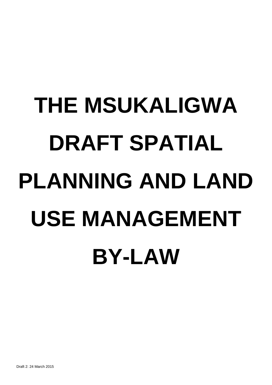# **THE MSUKALIGWA DRAFT SPATIAL PLANNING AND LAND USE MANAGEMENT BY-LAW**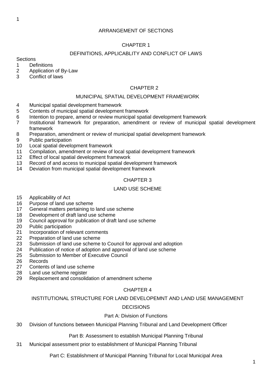## ARRANGEMENT OF SECTIONS

# CHAPTER 1

## DEFINITIONS, APPLICABLITY AND CONFLICT OF LAWS

#### **Sections**

- Definitions
- Application of By-Law
- Conflict of laws

#### CHAPTER 2

#### MUNICIPAL SPATIAL DEVELOPMENT FRAMEWORK

- Municipal spatial development framework
- Contents of municipal spatial development framework
- Intention to prepare, amend or review municipal spatial development framework
- Institutional framework for preparation, amendment or review of municipal spatial development framework
- Preparation, amendment or review of municipal spatial development framework
- Public participation
- Local spatial development framework
- Compilation, amendment or review of local spatial development framework
- Effect of local spatial development framework
- Record of and access to municipal spatial development framework
- Deviation from municipal spatial development framework

## CHAPTER 3

#### LAND USE SCHEME

- Applicability of Act
- Purpose of land use scheme
- General matters pertaining to land use scheme
- Development of draft land use scheme
- Council approval for publication of draft land use scheme
- Public participation
- Incorporation of relevant comments
- Preparation of land use scheme
- Submission of land use scheme to Council for approval and adoption
- Publication of notice of adoption and approval of land use scheme
- Submission to Member of Executive Council
- Records
- Contents of land use scheme
- Land use scheme register
- Replacement and consolidation of amendment scheme

## CHAPTER 4

INSTITUTIONAL STRUCTURE FOR LAND DEVELOPEMNT AND LAND USE MANAGEMENT

## DECISIONS

## Part A: Division of Functions

Division of functions between Municipal Planning Tribunal and Land Development Officer

Part B: Assessment to establish Municipal Planning Tribunal

Municipal assessment prior to establishment of Municipal Planning Tribunal

Part C: Establishment of Municipal Planning Tribunal for Local Municipal Area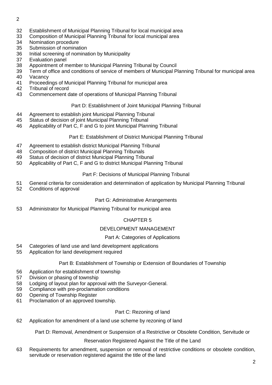- 
- Establishment of Municipal Planning Tribunal for local municipal area
- Composition of Municipal Planning Tribunal for local municipal area
- Nomination procedure
- Submission of nomination
- Initial screening of nomination by Municipality
- Evaluation panel
- Appointment of member to Municipal Planning Tribunal by Council
- Term of office and conditions of service of members of Municipal Planning Tribunal for municipal area
- Vacancy
- Proceedings of Municipal Planning Tribunal for municipal area
- Tribunal of record
- Commencement date of operations of Municipal Planning Tribunal

## Part D: Establishment of Joint Municipal Planning Tribunal

- Agreement to establish joint Municipal Planning Tribunal
- Status of decision of joint Municipal Planning Tribunal
- Applicability of Part C, F and G to joint Municipal Planning Tribunal

## Part E: Establishment of District Municipal Planning Tribunal

- Agreement to establish district Municipal Planning Tribunal
- Composition of district Municipal Planning Tribunals
- Status of decision of district Municipal Planning Tribunal
- Applicability of Part C, F and G to district Municipal Planning Tribunal

## Part F: Decisions of Municipal Planning Tribunal

- General criteria for consideration and determination of application by Municipal Planning Tribunal
- Conditions of approval

## Part G: Administrative Arrangements

Administrator for Municipal Planning Tribunal for municipal area

## CHAPTER 5

## DEVELOPMENT MANAGEMENT

## Part A: Categories of Applications

- Categories of land use and land development applications
- Application for land development required

## Part B: Establishment of Township or Extension of Boundaries of Township

- Application for establishment of township
- Division or phasing of township
- Lodging of layout plan for approval with the Surveyor-General.
- Compliance with pre-proclamation conditions
- Opening of Township Register
- Proclamation of an approved township.

## Part C: Rezoning of land

Application for amendment of a land use scheme by rezoning of land

Part D: Removal, Amendment or Suspension of a Restrictive or Obsolete Condition, Servitude or

Reservation Registered Against the Title of the Land

 Requirements for amendment, suspension or removal of restrictive conditions or obsolete condition, servitude or reservation registered against the title of the land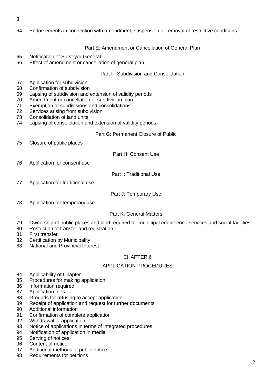- 
- Endorsements in connection with amendment, suspension or removal of restrictive conditions

Part E: Amendment or Cancellation of General Plan

- Notification of Surveyor-General
- Effect of amendment or cancellation of general plan

Part F: Subdivision and Consolidation

- Application for subdivision
- Confirmation of subdivision
- Lapsing of subdivision and extension of validity periods
- Amendment or cancellation of subdivision plan
- Exemption of subdivisions and consolidations
- Services arising from subdivision
- Consolidation of land units
- Lapsing of consolidation and extension of validity periods

Part G: Permanent Closure of Public

Closure of public places

Part H: Consent Use

Application for consent use

Part I: Traditional Use

- Application for traditional use
- Part J: Temporary Use
- Application for temporary use

## Part K: General Matters

- Ownership of public places and land required for municipal engineering services and social facilities
- Restriction of transfer and registration
- First transfer
- 82 Certification by Municipality
- National and Provincial Interest

## CHAPTER 6

## APPLICATION PROCEDURES

- Applicability of Chapter
- Procedures for making application
- Information required
- Application fees
- Grounds for refusing to accept application
- Receipt of application and request for further documents
- Additional information
- Confirmation of complete application
- Withdrawal of application
- Notice of applications in terms of integrated procedures
- Notification of application in media
- Serving of notices
- Content of notice
- Additional methods of public notice
- Requirements for petitions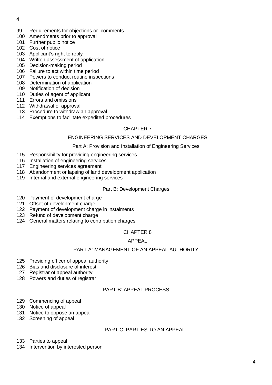- Requirements for objections or comments
- Amendments prior to approval
- 101 Further public notice
- Cost of notice
- Applicant's right to reply
- Written assessment of application
- Decision-making period
- Failure to act within time period
- Powers to conduct routine inspections
- Determination of application
- Notification of decision
- Duties of agent of applicant
- Errors and omissions
- Withdrawal of approval
- Procedure to withdraw an approval
- Exemptions to facilitate expedited procedures

#### CHAPTER 7

#### ENGINEERING SERVICES AND DEVELOPMENT CHARGES

#### Part A: Provision and Installation of Engineering Services

- Responsibility for providing engineering services
- Installation of engineering services
- Engineering services agreement
- Abandonment or lapsing of land development application
- Internal and external engineering services

#### Part B: Development Charges

- Payment of development charge
- Offset of development charge
- Payment of development charge in instalments
- Refund of development charge
- General matters relating to contribution charges

#### CHAPTER 8

#### APPEAL

## PART A: MANAGEMENT OF AN APPEAL AUTHORITY

- Presiding officer of appeal authority
- Bias and disclosure of interest
- Registrar of appeal authority
- Powers and duties of registrar

## PART B: APPEAL PROCESS

- Commencing of appeal
- Notice of appeal
- Notice to oppose an appeal
- Screening of appeal

## PART C: PARTIES TO AN APPEAL

- Parties to appeal
- Intervention by interested person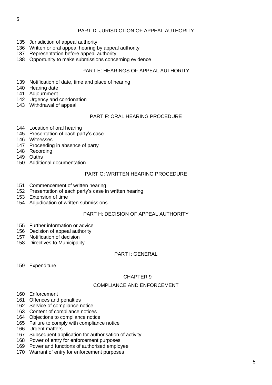## PART D: JURISDICTION OF APPEAL AUTHORITY

- Jurisdiction of appeal authority
- Written or oral appeal hearing by appeal authority
- Representation before appeal authority
- Opportunity to make submissions concerning evidence

#### PART E: HEARINGS OF APPEAL AUTHORITY

- Notification of date, time and place of hearing
- Hearing date
- Adjournment
- 142 Urgency and condonation
- Withdrawal of appeal

#### PART F: ORAL HEARING PROCEDURE

- Location of oral hearing
- Presentation of each party's case
- Witnesses
- Proceeding in absence of party
- Recording
- Oaths
- Additional documentation

#### PART G: WRITTEN HEARING PROCEDURE

- Commencement of written hearing
- Presentation of each party's case in written hearing
- Extension of time
- Adjudication of written submissions

## PART H: DECISION OF APPEAL AUTHORITY

- Further information or advice
- Decision of appeal authority
- Notification of decision
- Directives to Municipality

#### PART I: GENERAL

Expenditure

## CHAPTER 9

## COMPLIANCE AND ENFORCEMENT

- Enforcement
- Offences and penalties
- Service of compliance notice
- Content of compliance notices
- Objections to compliance notice
- Failure to comply with compliance notice
- Urgent matters
- Subsequent application for authorisation of activity
- Power of entry for enforcement purposes
- Power and functions of authorised employee
- Warrant of entry for enforcement purposes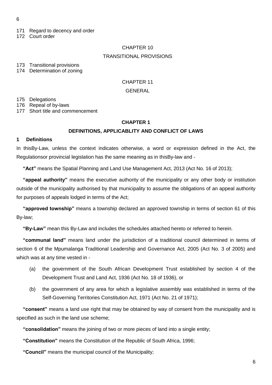- 171 Regard to decency and order
- 172 Court order

# CHAPTER 10 TRANSITIONAL PROVISIONS

173 Transitional provisions

174 Determination of zoning

## CHAPTER 11

#### **GENERAL**

175 Delegations

176 Repeal of by-laws

177 Short title and commencement

#### **CHAPTER 1**

## **DEFINITIONS, APPLICABLITY AND CONFLICT OF LAWS**

#### **1 Definitions**

In thisBy-Law, unless the context indicates otherwise, a word or expression defined in the Act, the Regulationsor provincial legislation has the same meaning as in thisBy-law and -

**"Act"** means the Spatial Planning and Land Use Management Act, 2013 (Act No. 16 of 2013);

**"appeal authority"** means the executive authority of the municipality or any other body or institution outside of the municipality authorised by that municipality to assume the obligations of an appeal authority for purposes of appeals lodged in terms of the Act;

**"approved township"** means a township declared an approved township in terms of section 61 of this By-law;

**"By-Law"** mean this By-Law and includes the schedules attached hereto or referred to herein.

**"communal land"** means land under the jurisdiction of a traditional council determined in terms of section 6 of the Mpumalanga Traditional Leadership and Governance Act, 2005 (Act No. 3 of 2005) and which was at any time vested in -

- (a) the government of the South African Development Trust established by section 4 of the Development Trust and Land Act, 1936 (Act No. 18 of 1936), or
- (b) the government of any area for which a legislative assembly was established in terms of the Self-Governing Territories Constitution Act, 1971 (Act No. 21 of 1971);

**"consent"** means a land use right that may be obtained by way of consent from the municipality and is specified as such in the land use scheme;

**"consolidation"** means the joining of two or more pieces of land into a single entity;

**"Constitution"** means the Constitution of the Republic of South Africa, 1996;

**"Council"** means the municipal council of the Municipality;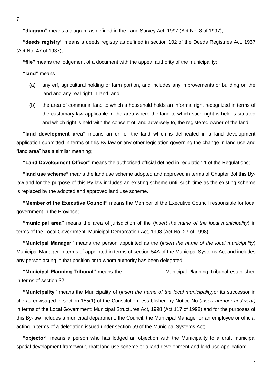7

**"diagram"** means a diagram as defined in the Land Survey Act, 1997 (Act No. 8 of 1997);

**"deeds registry"** means a deeds registry as defined in section 102 of the Deeds Registries Act, 1937 (Act No. 47 of 1937);

**"file"** means the lodgement of a document with the appeal authority of the municipality;

**"land"** means -

- (a) any erf, agricultural holding or farm portion, and includes any improvements or building on the land and any real right in land, and
- (b) the area of communal land to which a household holds an informal right recognized in terms of the customary law applicable in the area where the land to which such right is held is situated and which right is held with the consent of, and adversely to, the registered owner of the land;

**"land development area"** means an erf or the land which is delineated in a land development application submitted in terms of this By-law or any other legislation governing the change in land use and "land area" has a similar meaning;

**"Land Development Officer"** means the authorised official defined in regulation 1 of the Regulations;

**"land use scheme"** means the land use scheme adopted and approved in terms of Chapter 3of this Bylaw and for the purpose of this By-law includes an existing scheme until such time as the existing scheme is replaced by the adopted and approved land use scheme.

**"Member of the Executive Council"** means the Member of the Executive Council responsible for local government in the Province;

**"municipal area"** means the area of jurisdiction of the (*insert the name of the local municipality*) in terms of the Local Government: Municipal Demarcation Act, 1998 (Act No. 27 of 1998);

**"Municipal Manager"** means the person appointed as the (*insert the name of the local municipality*) Municipal Manager in terms of appointed in terms of section 54A of the Municipal Systems Act and includes any person acting in that position or to whom authority has been delegated;

**"Municipal Planning Tribunal"** means the \_\_\_\_\_\_\_\_\_\_\_\_\_\_\_Municipal Planning Tribunal established in terms of section 32;

**"Municipality"** means the Municipality of (*insert the name of the local municipality)*or its successor in title as envisaged in section 155(1) of the Constitution, established by Notice No (*insert number and year)* in terms of the Local Government: Municipal Structures Act, 1998 (Act 117 of 1998) and for the purposes of this By-law includes a municipal department, the Council, the Municipal Manager or an employee or official acting in terms of a delegation issued under section 59 of the Municipal Systems Act;

**"objector"** means a person who has lodged an objection with the Municipality to a draft municipal spatial development framework, draft land use scheme or a land development and land use application;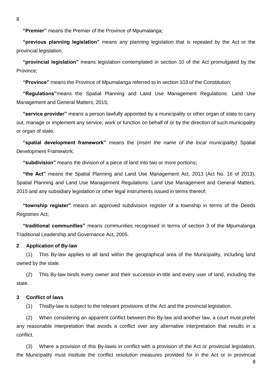**"Premier"** means the Premier of the Province of Mpumalanga;

**"previous planning legislation"** means any planning legislation that is repealed by the Act or the provincial legislation;

**"provincial legislation"** means legislation contemplated in section 10 of the Act promulgated by the Province;

**"Province"** means the Province of Mpumalanga referred to in section 103 of the Constitution;

**"Regulations"**means the Spatial Planning and Land Use Management Regulations: Land Use Management and General Matters, 2015;

**"service provider"** means a person lawfully appointed by a municipality or other organ of state to carry out, manage or implement any service, work or function on behalf of or by the direction of such municipality or organ of state;

**"spatial development framework"** means the (*insert the name of the local municipality)* Spatial Development Framework;

**"subdivision"** means the division of a piece of land into two or more portions**;**

**"the Act"** means the Spatial Planning and Land Use Management Act, 2013 (Act No. 16 of 2013), Spatial Planning and Land Use Management Regulations: Land Use Management and General Matters, 2015 and any subsidiary legislation or other legal instruments issued in terms thereof;

**"township register"** means an approved subdivision register of a township in terms of the Deeds Registries Act;

**"traditional communities"** means communities recognised in terms of section 3 of the Mpumalanga Traditional Leadership and Governance Act, 2005.

#### **2 Application of By-law**

(1) This By-law applies to all land within the geographical area of the Municipality, including land owned by the state.

(2) This By-law binds every owner and their successor-in-title and every user of land, including the state.

#### **3 Conflict of laws**

(1) ThisBy-law is subject to the relevant provisions of the Act and the provincial legislation.

(2) When considering an apparent conflict between this By-law and another law, a court must prefer any reasonable interpretation that avoids a conflict over any alternative interpretation that results in a conflict.

(3) Where a provision of this By-lawis in conflict with a provision of the Act or provincial legislation, the Municipality must institute the conflict resolution measures provided for in the Act or in provincial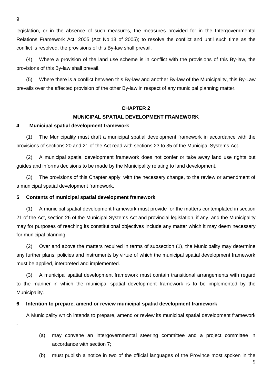legislation, or in the absence of such measures, the measures provided for in the Intergovernmental Relations Framework Act, 2005 (Act No.13 of 2005); to resolve the conflict and until such time as the conflict is resolved, the provisions of this By-law shall prevail.

(4) Where a provision of the land use scheme is in conflict with the provisions of this By-law, the provisions of this By-law shall prevail.

(5) Where there is a conflict between this By-law and another By-law of the Municipality, this By-Law prevails over the affected provision of the other By-law in respect of any municipal planning matter.

## **CHAPTER 2**

#### **MUNICIPAL SPATIAL DEVELOPMENT FRAMEWORK**

#### **4 Municipal spatial development framework**

(1) The Municipality must draft a municipal spatial development framework in accordance with the provisions of sections 20 and 21 of the Act read with sections 23 to 35 of the Municipal Systems Act.

(2) A municipal spatial development framework does not confer or take away land use rights but guides and informs decisions to be made by the Municipality relating to land development.

(3) The provisions of this Chapter apply, with the necessary change, to the review or amendment of a municipal spatial development framework.

#### **5 Contents of municipal spatial development framework**

(1) A municipal spatial development framework must provide for the matters contemplated in section 21 of the Act, section 26 of the Municipal Systems Act and provincial legislation, if any, and the Municipality may for purposes of reaching its constitutional objectives include any matter which it may deem necessary for municipal planning.

(2) Over and above the matters required in terms of subsection (1), the Municipality may determine any further plans, policies and instruments by virtue of which the municipal spatial development framework must be applied, interpreted and implemented.

(3) A municipal spatial development framework must contain transitional arrangements with regard to the manner in which the municipal spatial development framework is to be implemented by the Municipality.

#### **6 Intention to prepare, amend or review municipal spatial development framework**

A Municipality which intends to prepare, amend or review its municipal spatial development framework

- (a) may convene an intergovernmental steering committee and a project committee in accordance with section 7;
- (b) must publish a notice in two of the official languages of the Province most spoken in the

9

9

-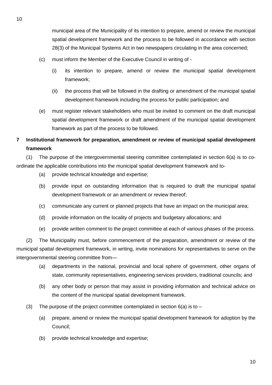municipal area of the Municipality of its intention to prepare, amend or review the municipal spatial development framework and the process to be followed in accordance with section 28(3) of the Municipal Systems Act in two newspapers circulating in the area concerned;

- (c) must inform the Member of the Executive Council in writing of
	- (i) its intention to prepare, amend or review the municipal spatial development framework;
	- (ii) the process that will be followed in the drafting or amendment of the municipal spatial development framework including the process for public participation; and
- (e) must register relevant stakeholders who must be invited to comment on the draft municipal spatial development framework or draft amendment of the municipal spatial development framework as part of the process to be followed.

# **7 Institutional framework for preparation, amendment or review of municipal spatial development framework**

(1) The purpose of the intergovernmental steering committee contemplated in section 6(a) is to coordinate the applicable contributions into the municipal spatial development framework and to-

- (a) provide technical knowledge and expertise;
- (b) provide input on outstanding information that is required to draft the municipal spatial development framework or an amendment or review thereof;
- (c) communicate any current or planned projects that have an impact on the municipal area;
- (d) provide information on the locality of projects and budgetary allocations; and
- (e) provide written comment to the project committee at each of various phases of the process.

(2) The Municipality must, before commencement of the preparation, amendment or review of the municipal spatial development framework, in writing, invite nominations for representatives to serve on the intergovernmental steering committee from—

- (a) departments in the national, provincial and local sphere of government, other organs of state, community representatives, engineering services providers, traditional councils; and
- (b) any other body or person that may assist in providing information and technical advice on the content of the municipal spatial development framework.
- (3) The purpose of the project committee contemplated in section  $6(a)$  is to
	- (a) prepare, amend or review the municipal spatial development framework for adoption by the Council;
	- (b) provide technical knowledge and expertise;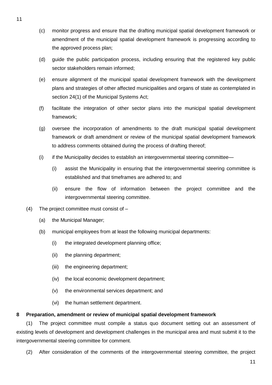- (c) monitor progress and ensure that the drafting municipal spatial development framework or amendment of the municipal spatial development framework is progressing according to the approved process plan;
- (d) guide the public participation process, including ensuring that the registered key public sector stakeholders remain informed;
- (e) ensure alignment of the municipal spatial development framework with the development plans and strategies of other affected municipalities and organs of state as contemplated in section 24(1) of the Municipal Systems Act;
- (f) facilitate the integration of other sector plans into the municipal spatial development framework;
- (g) oversee the incorporation of amendments to the draft municipal spatial development framework or draft amendment or review of the municipal spatial development framework to address comments obtained during the process of drafting thereof;
- (i) if the Municipality decides to establish an intergovernmental steering committee—
	- (i) assist the Municipality in ensuring that the intergovernmental steering committee is established and that timeframes are adhered to; and
	- (ii) ensure the flow of information between the project committee and the intergovernmental steering committee.
- (4) The project committee must consist of
	- (a) the Municipal Manager;
	- (b) municipal employees from at least the following municipal departments:
		- (i) the integrated development planning office;
		- (ii) the planning department;
		- (iii) the engineering department;
		- (iv) the local economic development department;
		- (v) the environmental services department; and
		- (vi) the human settlement department.

## **8 Preparation, amendment or review of municipal spatial development framework**

(1) The project committee must compile a status quo document setting out an assessment of existing levels of development and development challenges in the municipal area and must submit it to the intergovernmental steering committee for comment.

(2) After consideration of the comments of the intergovernmental steering committee, the project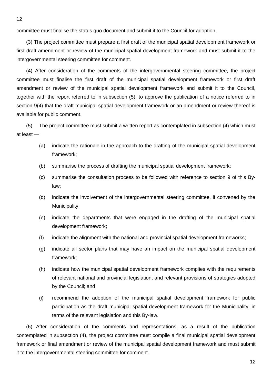committee must finalise the status quo document and submit it to the Council for adoption.

(3) The project committee must prepare a first draft of the municipal spatial development framework or first draft amendment or review of the municipal spatial development framework and must submit it to the intergovernmental steering committee for comment.

(4) After consideration of the comments of the intergovernmental steering committee, the project committee must finalise the first draft of the municipal spatial development framework or first draft amendment or review of the municipal spatial development framework and submit it to the Council, together with the report referred to in subsection (5), to approve the publication of a notice referred to in section 9(4) that the draft municipal spatial development framework or an amendment or review thereof is available for public comment.

(5) The project committee must submit a written report as contemplated in subsection (4) which must at least —

- (a) indicate the rationale in the approach to the drafting of the municipal spatial development framework;
- (b) summarise the process of drafting the municipal spatial development framework;
- (c) summarise the consultation process to be followed with reference to section 9 of this Bylaw;
- (d) indicate the involvement of the intergovernmental steering committee, if convened by the Municipality;
- (e) indicate the departments that were engaged in the drafting of the municipal spatial development framework;
- (f) indicate the alignment with the national and provincial spatial development frameworks;
- (g) indicate all sector plans that may have an impact on the municipal spatial development framework;
- (h) indicate how the municipal spatial development framework complies with the requirements of relevant national and provincial legislation, and relevant provisions of strategies adopted by the Council; and
- (i) recommend the adoption of the municipal spatial development framework for public participation as the draft municipal spatial development framework for the Municipality, in terms of the relevant legislation and this By-law.

(6) After consideration of the comments and representations, as a result of the publication contemplated in subsection (4), the project committee must compile a final municipal spatial development framework or final amendment or review of the municipal spatial development framework and must submit it to the intergovernmental steering committee for comment.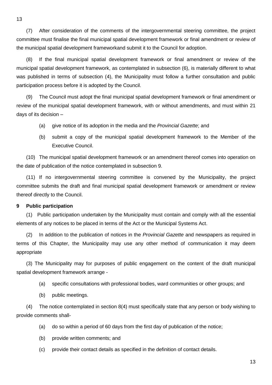(7) After consideration of the comments of the intergovernmental steering committee, the project committee must finalise the final municipal spatial development framework or final amendment or review of the municipal spatial development frameworkand submit it to the Council for adoption.

(8) If the final municipal spatial development framework or final amendment or review of the municipal spatial development framework, as contemplated in subsection (6), is materially different to what was published in terms of subsection (4), the Municipality must follow a further consultation and public participation process before it is adopted by the Council.

(9) The Council must adopt the final municipal spatial development framework or final amendment or review of the municipal spatial development framework, with or without amendments, and must within 21 days of its decision –

- (a) give notice of its adoption in the media and the *Provincial Gazette*; and
- (b) submit a copy of the municipal spatial development framework to the Member of the Executive Council.

(10) The municipal spatial development framework or an amendment thereof comes into operation on the date of publication of the notice contemplated in subsection 9.

(11) If no intergovernmental steering committee is convened by the Municipality, the project committee submits the draft and final municipal spatial development framework or amendment or review thereof directly to the Council.

#### **9 Public participation**

(1) Public participation undertaken by the Municipality must contain and comply with all the essential elements of any notices to be placed in terms of the Act or the Municipal Systems Act.

(2) In addition to the publication of notices in the *Provincial Gazette* and newspapers as required in terms of this Chapter, the Municipality may use any other method of communication it may deem appropriate

(3) The Municipality may for purposes of public engagement on the content of the draft municipal spatial development framework arrange -

- (a) specific consultations with professional bodies, ward communities or other groups; and
- (b) public meetings.

(4) The notice contemplated in section 8(4) must specifically state that any person or body wishing to provide comments shall-

- (a) do so within a period of 60 days from the first day of publication of the notice;
- (b) provide written comments; and
- (c) provide their contact details as specified in the definition of contact details.

13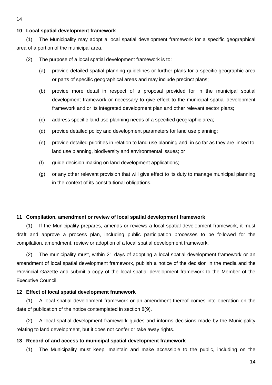#### 14

#### **10 Local spatial development framework**

(1) The Municipality may adopt a local spatial development framework for a specific geographical area of a portion of the municipal area.

(2) The purpose of a local spatial development framework is to:

- (a) provide detailed spatial planning guidelines or further plans for a specific geographic area or parts of specific geographical areas and may include precinct plans;
- (b) provide more detail in respect of a proposal provided for in the municipal spatial development framework or necessary to give effect to the municipal spatial development framework and or its integrated development plan and other relevant sector plans;
- (c) address specific land use planning needs of a specified geographic area;
- (d) provide detailed policy and development parameters for land use planning;
- (e) provide detailed priorities in relation to land use planning and, in so far as they are linked to land use planning, biodiversity and environmental issues; or
- (f) guide decision making on land development applications;
- (g) or any other relevant provision that will give effect to its duty to manage municipal planning in the context of its constitutional obligations.

#### **11 Compilation, amendment or review of local spatial development framework**

(1) If the Municipality prepares, amends or reviews a local spatial development framework, it must draft and approve a process plan, including public participation processes to be followed for the compilation, amendment, review or adoption of a local spatial development framework.

(2) The municipality must, within 21 days of adopting a local spatial development framework or an amendment of local spatial development framework, publish a notice of the decision in the media and the Provincial Gazette and submit a copy of the local spatial development framework to the Member of the Executive Council.

#### **12 Effect of local spatial development framework**

(1) A local spatial development framework or an amendment thereof comes into operation on the date of publication of the notice contemplated in section 8(9).

(2) A local spatial development framework guides and informs decisions made by the Municipality relating to land development, but it does not confer or take away rights.

#### **13 Record of and access to municipal spatial development framework**

(1) The Municipality must keep, maintain and make accessible to the public, including on the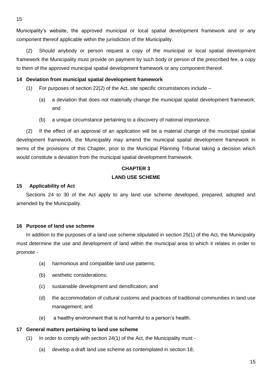Municipality's website, the approved municipal or local spatial development framework and or any component thereof applicable within the jurisdiction of the Municipality.

(2) Should anybody or person request a copy of the municipal or local spatial development framework the Municipality must provide on payment by such body or person of the prescribed fee, a copy to them of the approved municipal spatial development framework or any component thereof.

## **14 Deviation from municipal spatial development framework**

- (1) For purposes of section 22(2) of the Act, site specific circumstances include  $-$ 
	- (a) a deviation that does not materially change the municipal spatial development framework; and
	- (b) a unique circumstance pertaining to a discovery of national importance.

(2) If the effect of an approval of an application will be a material change of the municipal spatial development framework, the Municipality may amend the municipal spatial development framework in terms of the provisions of this Chapter, prior to the Municipal Planning Tribunal taking a decision which would constitute a deviation from the municipal spatial development framework.

# **CHAPTER 3 LAND USE SCHEME**

#### **15 Applicability of Act**

Sections 24 to 30 of the Act apply to any land use scheme developed, prepared, adopted and amended by the Municipality.

## **16 Purpose of land use scheme**

In addition to the purposes of a land use scheme stipulated in section 25(1) of the Act, the Municipality must determine the use and development of land within the municipal area to which it relates in order to promote -

- (a) harmonious and compatible land use patterns;
- (b) aesthetic considerations;
- (c) sustainable development and densification; and
- (d) the accommodation of cultural customs and practices of traditional communities in land use management; and
- (e) a healthy environment that is not harmful to a person's health.

#### **17 General matters pertaining to land use scheme**

- (1) In order to comply with section 24(1) of the Act, the Municipality must
	- (a) develop a draft land use scheme as contemplated in section 18;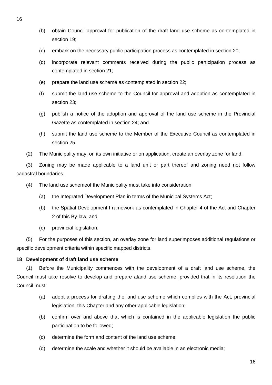- (b) obtain Council approval for publication of the draft land use scheme as contemplated in section 19;
- (c) embark on the necessary public participation process as contemplated in section 20;
- (d) incorporate relevant comments received during the public participation process as contemplated in section 21;
- (e) prepare the land use scheme as contemplated in section 22;
- (f) submit the land use scheme to the Council for approval and adoption as contemplated in section 23;
- (g) publish a notice of the adoption and approval of the land use scheme in the Provincial Gazette as contemplated in section 24; and
- (h) submit the land use scheme to the Member of the Executive Council as contemplated in section 25.
- (2) The Municipality may, on its own initiative or on application, create an overlay zone for land.

(3) Zoning may be made applicable to a land unit or part thereof and zoning need not follow cadastral boundaries.

- (4) The land use schemeof the Municipality must take into consideration:
	- (a) the Integrated Development Plan in terms of the Municipal Systems Act;
	- (b) the Spatial Development Framework as contemplated in Chapter 4 of the Act and Chapter 2 of this By-law, and
	- (c) provincial legislation.

(5) For the purposes of this section, an overlay zone for land superimposes additional regulations or specific development criteria within specific mapped districts.

## **18 Development of draft land use scheme**

(1) Before the Municipality commences with the development of a draft land use scheme, the Council must take resolve to develop and prepare aland use scheme, provided that in its resolution the Council must:

- (a) adopt a process for drafting the land use scheme which complies with the Act, provincial legislation, this Chapter and any other applicable legislation;
- (b) confirm over and above that which is contained in the applicable legislation the public participation to be followed;
- (c) determine the form and content of the land use scheme;
- (d) determine the scale and whether it should be available in an electronic media;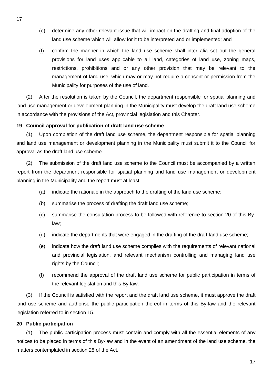- (e) determine any other relevant issue that will impact on the drafting and final adoption of the land use scheme which will allow for it to be interpreted and or implemented; and
- (f) confirm the manner in which the land use scheme shall inter alia set out the general provisions for land uses applicable to all land, categories of land use, zoning maps, restrictions, prohibitions and or any other provision that may be relevant to the management of land use, which may or may not require a consent or permission from the Municipality for purposes of the use of land.

(2) After the resolution is taken by the Council, the department responsible for spatial planning and land use management or development planning in the Municipality must develop the draft land use scheme in accordance with the provisions of the Act, provincial legislation and this Chapter.

## **19 Council approval for publication of draft land use scheme**

(1) Upon completion of the draft land use scheme, the department responsible for spatial planning and land use management or development planning in the Municipality must submit it to the Council for approval as the draft land use scheme.

(2) The submission of the draft land use scheme to the Council must be accompanied by a written report from the department responsible for spatial planning and land use management or development planning in the Municipality and the report must at least –

- (a) indicate the rationale in the approach to the drafting of the land use scheme;
- (b) summarise the process of drafting the draft land use scheme;
- (c) summarise the consultation process to be followed with reference to section 20 of this Bylaw;
- (d) indicate the departments that were engaged in the drafting of the draft land use scheme;
- (e) indicate how the draft land use scheme complies with the requirements of relevant national and provincial legislation, and relevant mechanism controlling and managing land use rights by the Council;
- (f) recommend the approval of the draft land use scheme for public participation in terms of the relevant legislation and this By-law.

(3) If the Council is satisfied with the report and the draft land use scheme, it must approve the draft land use scheme and authorise the public participation thereof in terms of this By-law and the relevant legislation referred to in section 15.

## **20 Public participation**

(1) The public participation process must contain and comply with all the essential elements of any notices to be placed in terms of this By-law and in the event of an amendment of the land use scheme, the matters contemplated in section 28 of the Act.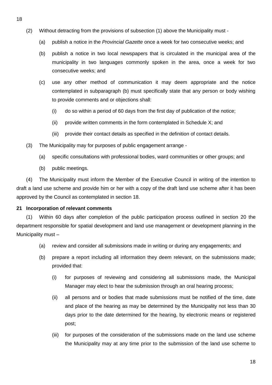- (2) Without detracting from the provisions of subsection (1) above the Municipality must
	- (a) publish a notice in the *Provincial Gazette* once a week for two consecutive weeks; and
	- (b) publish a notice in two local newspapers that is circulated in the municipal area of the municipality in two languages commonly spoken in the area, once a week for two consecutive weeks; and
	- (c) use any other method of communication it may deem appropriate and the notice contemplated in subparagraph (b) must specifically state that any person or body wishing to provide comments and or objections shall:
		- (i) do so within a period of 60 days from the first day of publication of the notice;
		- (ii) provide written comments in the form contemplated in Schedule X; and
		- (iii) provide their contact details as specified in the definition of contact details.
- (3) The Municipality may for purposes of public engagement arrange
	- (a) specific consultations with professional bodies, ward communities or other groups; and
	- (b) public meetings.

(4) The Municipality must inform the Member of the Executive Council in writing of the intention to draft a land use scheme and provide him or her with a copy of the draft land use scheme after it has been approved by the Council as contemplated in section 18.

## **21 Incorporation of relevant comments**

(1) Within 60 days after completion of the public participation process outlined in section 20 the department responsible for spatial development and land use management or development planning in the Municipality must –

- (a) review and consider all submissions made in writing or during any engagements; and
- (b) prepare a report including all information they deem relevant, on the submissions made; provided that:
	- (i) for purposes of reviewing and considering all submissions made, the Municipal Manager may elect to hear the submission through an oral hearing process;
	- (ii) all persons and or bodies that made submissions must be notified of the time, date and place of the hearing as may be determined by the Municipality not less than 30 days prior to the date determined for the hearing, by electronic means or registered post;
	- (iii) for purposes of the consideration of the submissions made on the land use scheme the Municipality may at any time prior to the submission of the land use scheme to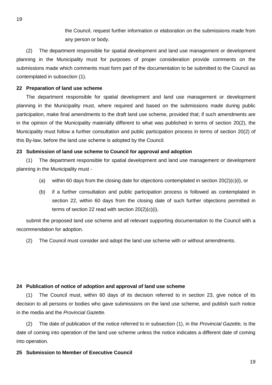the Council, request further information or elaboration on the submissions made from any person or body.

(2) The department responsible for spatial development and land use management or development planning in the Municipality must for purposes of proper consideration provide comments on the submissions made which comments must form part of the documentation to be submitted to the Council as contemplated in subsection (1).

#### **22 Preparation of land use scheme**

The department responsible for spatial development and land use management or development planning in the Municipality must, where required and based on the submissions made during public participation, make final amendments to the draft land use scheme, provided that; if such amendments are in the opinion of the Municipality materially different to what was published in terms of section 20(2), the Municipality must follow a further consultation and public participation process in terms of section 20(2) of this By-law, before the land use scheme is adopted by the Council.

#### **23 Submission of land use scheme to Council for approval and adoption**

(1) The department responsible for spatial development and land use management or development planning in the Municipality must -

- (a) within 60 days from the closing date for objections contemplated in section  $20(2)(c)(i)$ , or
- (b) if a further consultation and public participation process is followed as contemplated in section 22, within 60 days from the closing date of such further objections permitted in terms of section 22 read with section 20(2)(c)(i),

submit the proposed land use scheme and all relevant supporting documentation to the Council with a recommendation for adoption.

(2) The Council must consider and adopt the land use scheme with or without amendments.

#### **24 Publication of notice of adoption and approval of land use scheme**

(1) The Council must, within 60 days of its decision referred to in section 23, give notice of its decision to all persons or bodies who gave submissions on the land use scheme, and publish such notice in the media and the *Provincial Gazette.*

(2) The date of publication of the notice referred to in subsection (1), in the *Provincial Gazette,* is the date of coming into operation of the land use scheme unless the notice indicates a different date of coming into operation.

#### **25 Submission to Member of Executive Council**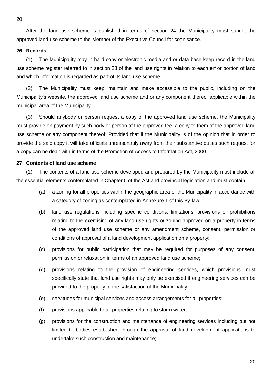After the land use scheme is published in terms of section 24 the Municipality must submit the

approved land use scheme to the Member of the Executive Council for cognisance.

#### **26 Records**

(1) The Municipality may in hard copy or electronic media and or data base keep record in the land use scheme register referred to in section 28 of the land use rights in relation to each erf or portion of land and which information is regarded as part of its land use scheme.

(2) The Municipality must keep, maintain and make accessible to the public, including on the Municipality's website, the approved land use scheme and or any component thereof applicable within the municipal area of the Municipality.

(3) Should anybody or person request a copy of the approved land use scheme, the Municipality must provide on payment by such body or person of the approved fee, a copy to them of the approved land use scheme or any component thereof: Provided that if the Municipality is of the opinion that in order to provide the said copy it will take officials unreasonably away from their substantive duties such request for a copy can be dealt with in terms of the Promotion of Access to Information Act, 2000.

#### **27 Contents of land use scheme**

(1) The contents of a land use scheme developed and prepared by the Municipality must include all the essential elements contemplated in Chapter 5 of the Act and provincial legislation and must contain –

- (a) a zoning for all properties within the geographic area of the Municipality in accordance with a category of zoning as contemplated in Annexure 1 of this By-law;
- (b) land use regulations including specific conditions, limitations, provisions or prohibitions relating to the exercising of any land use rights or zoning approved on a property in terms of the approved land use scheme or any amendment scheme, consent, permission or conditions of approval of a land development application on a property;
- (c) provisions for public participation that may be required for purposes of any consent, permission or relaxation in terms of an approved land use scheme;
- (d) provisions relating to the provision of engineering services, which provisions must specifically state that land use rights may only be exercised if engineering services can be provided to the property to the satisfaction of the Municipality;
- (e) servitudes for municipal services and access arrangements for all properties;
- (f) provisions applicable to all properties relating to storm water;
- (g) provisions for the construction and maintenance of engineering services including but not limited to bodies established through the approval of land development applications to undertake such construction and maintenance;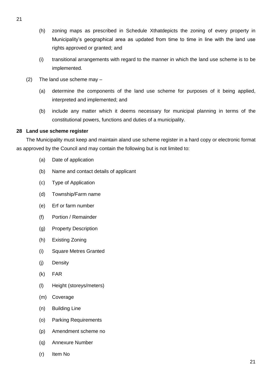- (h) zoning maps as prescribed in Schedule Xthatdepicts the zoning of every property in Municipality's geographical area as updated from time to time in line with the land use rights approved or granted; and
- (i) transitional arrangements with regard to the manner in which the land use scheme is to be implemented.
- (2) The land use scheme may
	- (a) determine the components of the land use scheme for purposes of it being applied, interpreted and implemented; and
	- (b) include any matter which it deems necessary for municipal planning in terms of the constitutional powers, functions and duties of a municipality.

## **28 Land use scheme register**

The Municipality must keep and maintain aland use scheme register in a hard copy or electronic format as approved by the Council and may contain the following but is not limited to:

- (a) Date of application
- (b) Name and contact details of applicant
- (c) Type of Application
- (d) Township/Farm name
- (e) Erf or farm number
- (f) Portion / Remainder
- (g) Property Description
- (h) Existing Zoning
- (i) Square Metres Granted
- (j) Density
- (k) FAR
- (l) Height (storeys/meters)
- (m) Coverage
- (n) Building Line
- (o) Parking Requirements
- (p) Amendment scheme no
- (q) Annexure Number
- (r) Item No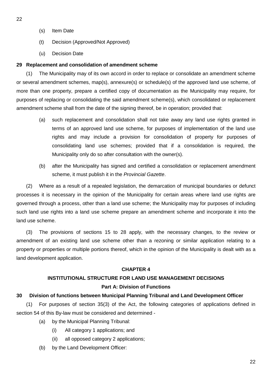- 22
- (s) Item Date
- (t) Decision (Approved/Not Approved)
- (u) Decision Date

## **29 Replacement and consolidation of amendment scheme**

(1) The Municipality may of its own accord in order to replace or consolidate an amendment scheme or several amendment schemes, map(s), annexure(s) or schedule(s) of the approved land use scheme, of more than one property, prepare a certified copy of documentation as the Municipality may require, for purposes of replacing or consolidating the said amendment scheme(s), which consolidated or replacement amendment scheme shall from the date of the signing thereof, be in operation; provided that:

- (a) such replacement and consolidation shall not take away any land use rights granted in terms of an approved land use scheme, for purposes of implementation of the land use rights and may include a provision for consolidation of property for purposes of consolidating land use schemes; provided that if a consolidation is required, the Municipality only do so after consultation with the owner(s).
- (b) after the Municipality has signed and certified a consolidation or replacement amendment scheme, it must publish it in the *Provincial Gazette*.

(2) Where as a result of a repealed legislation, the demarcation of municipal boundaries or defunct processes it is necessary in the opinion of the Municipality for certain areas where land use rights are governed through a process, other than a land use scheme; the Municipality may for purposes of including such land use rights into a land use scheme prepare an amendment scheme and incorporate it into the land use scheme.

(3) The provisions of sections 15 to 28 apply, with the necessary changes, to the review or amendment of an existing land use scheme other than a rezoning or similar application relating to a property or properties or multiple portions thereof, which in the opinion of the Municipality is dealt with as a land development application.

## **CHAPTER 4**

# **INSTITUTIONAL STRUCTURE FOR LAND USE MANAGEMENT DECISIONS Part A: Division of Functions**

## **30 Division of functions between Municipal Planning Tribunal and Land Development Officer**

(1) For purposes of section 35(3) of the Act, the following categories of applications defined in section 54 of this By-law must be considered and determined -

- (a) by the Municipal Planning Tribunal:
	- (i) All category 1 applications; and
	- (ii) all opposed category 2 applications;
- (b) by the Land Development Officer: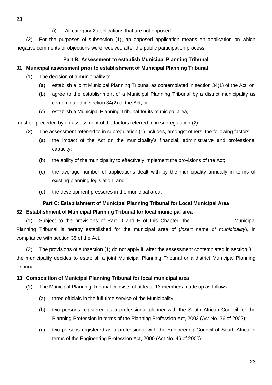(2) For the purposes of subsection (1), an opposed application means an application on which negative comments or objections were received after the public participation process.

## **Part B: Assessment to establish Municipal Planning Tribunal**

# **31 Municipal assessment prior to establishment of Municipal Planning Tribunal**

- (1) The decision of a municipality to  $-$ 
	- (a) establish a joint Municipal Planning Tribunal as contemplated in section 34(1) of the Act; or
	- (b) agree to the establishment of a Municipal Planning Tribunal by a district municipality as contemplated in section 34(2) of the Act; or
	- (c) establish a Municipal Planning Tribunal for its municipal area,

must be preceded by an assessment of the factors referred to in subregulation (2).

- (2) The assessment referred to in subregulation (1) includes, amongst others, the following factors
	- (a) the impact of the Act on the municipality's financial, administrative and professional capacity;
	- (b) the ability of the municipality to effectively implement the provisions of the Act;
	- (c) the average number of applications dealt with by the municipality annually in terms of existing planning legislation; and
	- (d) the development pressures in the municipal area.

## **Part C: Establishment of Municipal Planning Tribunal for Local Municipal Area**

## **32 Establishment of Municipal Planning Tribunal for local municipal area**

(1) Subject to the provisions of Part D and E of this Chapter, the \_\_\_\_\_\_\_\_\_\_\_\_\_\_\_Municipal Planning Tribunal is hereby established for the municipal area of (*insert name of municipality*), in compliance with section 35 of the Act.

(2) The provisions of subsection (1) do not apply if, after the assessment contemplated in section 31, the municipality decides to establish a joint Municipal Planning Tribunal or a district Municipal Planning Tribunal.

## **33 Composition of Municipal Planning Tribunal for local municipal area**

- (1) The Municipal Planning Tribunal consists of at least 13 members made up as follows
	- (a) three officials in the full-time service of the Municipality;
	- (b) two persons registered as a professional planner with the South African Council for the Planning Profession in terms of the Planning Profession Act, 2002 (Act No. 36 of 2002);
	- (c) two persons registered as a professional with the Engineering Council of South Africa in terms of the Engineering Profession Act, 2000 (Act No. 46 of 2000);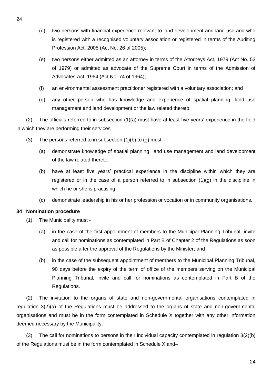- (d) two persons with financial experience relevant to land development and land use and who is registered with a recognised voluntary association or registered in terms of the Auditing Profession Act, 2005 (Act No. 26 of 2005);
- (e) two persons either admitted as an attorney in terms of the Attorneys Act, 1979 (Act No. 53 of 1979) or admitted as advocate of the Supreme Court in terms of the Admission of Advocates Act, 1964 (Act No. 74 of 1964);
- (f) an environmental assessment practitioner registered with a voluntary association; and
- (g) any other person who has knowledge and experience of spatial planning, land use management and land development or the law related thereto.

(2) The officials referred to in subsection (1)(a) must have at least five years' experience in the field in which they are performing their services.

- (3) The persons referred to in subsection  $(1)(b)$  to  $(g)$  must
	- (a) demonstrate knowledge of spatial planning, land use management and land development of the law related thereto;
	- (b) have at least five years' practical experience in the discipline within which they are registered or in the case of a person referred to in subsection  $(1)(g)$  in the discipline in which he or she is practising;
	- (c) demonstrate leadership in his or her profession or vocation or in community organisations.

## **34 Nomination procedure**

- (1) The Municipality must
	- (a) in the case of the first appointment of members to the Municipal Planning Tribunal, invite and call for nominations as contemplated in Part B of Chapter 2 of the Regulations as soon as possible after the approval of the Regulations by the Minister; and
	- (b) in the case of the subsequent appointment of members to the Municipal Planning Tribunal, 90 days before the expiry of the term of office of the members serving on the Municipal Planning Tribunal, invite and call for nominations as contemplated in Part B of the Regulations.

(2) The invitation to the organs of state and non-governmental organisations contemplated in regulation 3(2)(a) of the Regulations must be addressed to the organs of state and non-governmental organisations and must be in the form contemplated in Schedule X together with any other information deemed necessary by the Municipality.

(3) The call for nominations to persons in their individual capacity contemplated in regulation 3(2)(b) of the Regulations must be in the form contemplated in Schedule X and–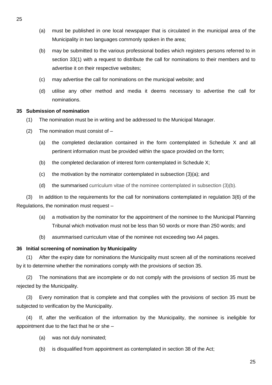- (a) must be published in one local newspaper that is circulated in the municipal area of the Municipality in two languages commonly spoken in the area;
- (b) may be submitted to the various professional bodies which registers persons referred to in section 33(1) with a request to distribute the call for nominations to their members and to advertise it on their respective websites;
- (c) may advertise the call for nominations on the municipal website; and
- (d) utilise any other method and media it deems necessary to advertise the call for nominations.

#### **35 Submission of nomination**

- (1) The nomination must be in writing and be addressed to the Municipal Manager.
- (2) The nomination must consist of
	- (a) the completed declaration contained in the form contemplated in Schedule X and all pertinent information must be provided within the space provided on the form;
	- (b) the completed declaration of interest form contemplated in Schedule X;
	- (c) the motivation by the nominator contemplated in subsection (3)(a); and
	- (d) the summarised curriculum vitae of the nominee contemplated in subsection (3)(b).

(3) In addition to the requirements for the call for nominations contemplated in regulation 3(6) of the Regulations, the nomination must request –

- (a) a motivation by the nominator for the appointment of the nominee to the Municipal Planning Tribunal which motivation must not be less than 50 words or more than 250 words; and
- (b) asummarised curriculum vitae of the nominee not exceeding two A4 pages.

#### **36 Initial screening of nomination by Municipality**

(1) After the expiry date for nominations the Municipality must screen all of the nominations received by it to determine whether the nominations comply with the provisions of section 35.

(2) The nominations that are incomplete or do not comply with the provisions of section 35 must be rejected by the Municipality.

(3) Every nomination that is complete and that complies with the provisions of section 35 must be subjected to verification by the Municipality.

(4) If, after the verification of the information by the Municipality, the nominee is ineligible for appointment due to the fact that he or she –

- (a) was not duly nominated;
- (b) is disqualified from appointment as contemplated in section 38 of the Act;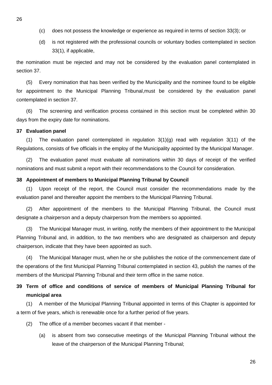- (c) does not possess the knowledge or experience as required in terms of section 33(3); or
- (d) is not registered with the professional councils or voluntary bodies contemplated in section 33(1), if applicable,

the nomination must be rejected and may not be considered by the evaluation panel contemplated in section 37.

(5) Every nomination that has been verified by the Municipality and the nominee found to be eligible for appointment to the Municipal Planning Tribunal,must be considered by the evaluation panel contemplated in section 37.

(6) The screening and verification process contained in this section must be completed within 30 days from the expiry date for nominations.

#### **37 Evaluation panel**

(1) The evaluation panel contemplated in regulation  $3(1)(q)$  read with regulation  $3(11)$  of the Regulations, consists of five officials in the employ of the Municipality appointed by the Municipal Manager.

(2) The evaluation panel must evaluate all nominations within 30 days of receipt of the verified nominations and must submit a report with their recommendations to the Council for consideration.

#### **38 Appointment of members to Municipal Planning Tribunal by Council**

(1) Upon receipt of the report, the Council must consider the recommendations made by the evaluation panel and thereafter appoint the members to the Municipal Planning Tribunal.

(2) After appointment of the members to the Municipal Planning Tribunal, the Council must designate a chairperson and a deputy chairperson from the members so appointed.

(3) The Municipal Manager must, in writing, notify the members of their appointment to the Municipal Planning Tribunal and, in addition, to the two members who are designated as chairperson and deputy chairperson, indicate that they have been appointed as such.

(4) The Municipal Manager must, when he or she publishes the notice of the commencement date of the operations of the first Municipal Planning Tribunal contemplated in section 43, publish the names of the members of the Municipal Planning Tribunal and their term office in the same notice.

# **39 Term of office and conditions of service of members of Municipal Planning Tribunal for municipal area**

(1) A member of the Municipal Planning Tribunal appointed in terms of this Chapter is appointed for a term of five years, which is renewable once for a further period of five years.

- (2) The office of a member becomes vacant if that member
	- (a) is absent from two consecutive meetings of the Municipal Planning Tribunal without the leave of the chairperson of the Municipal Planning Tribunal;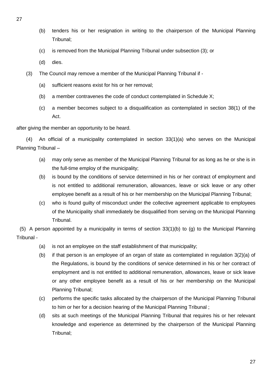- (b) tenders his or her resignation in writing to the chairperson of the Municipal Planning Tribunal;
- (c) is removed from the Municipal Planning Tribunal under subsection (3); or
- (d) dies.
- (3) The Council may remove a member of the Municipal Planning Tribunal if
	- (a) sufficient reasons exist for his or her removal;
	- (b) a member contravenes the code of conduct contemplated in Schedule X;
	- (c) a member becomes subject to a disqualification as contemplated in section 38(1) of the Act.

after giving the member an opportunity to be heard.

(4) An official of a municipality contemplated in section 33(1)(a) who serves on the Municipal Planning Tribunal –

- (a) may only serve as member of the Municipal Planning Tribunal for as long as he or she is in the full-time employ of the municipality;
- (b) is bound by the conditions of service determined in his or her contract of employment and is not entitled to additional remuneration, allowances, leave or sick leave or any other employee benefit as a result of his or her membership on the Municipal Planning Tribunal;
- (c) who is found guilty of misconduct under the collective agreement applicable to employees of the Municipality shall immediately be disqualified from serving on the Municipal Planning Tribunal.

(5) A person appointed by a municipality in terms of section 33(1)(b) to (g) to the Municipal Planning Tribunal -

- (a) is not an employee on the staff establishment of that municipality;
- (b) if that person is an employee of an organ of state as contemplated in regulation 3(2)(a) of the Regulations, is bound by the conditions of service determined in his or her contract of employment and is not entitled to additional remuneration, allowances, leave or sick leave or any other employee benefit as a result of his or her membership on the Municipal Planning Tribunal;
- (c) performs the specific tasks allocated by the chairperson of the Municipal Planning Tribunal to him or her for a decision hearing of the Municipal Planning Tribunal ;
- (d) sits at such meetings of the Municipal Planning Tribunal that requires his or her relevant knowledge and experience as determined by the chairperson of the Municipal Planning Tribunal;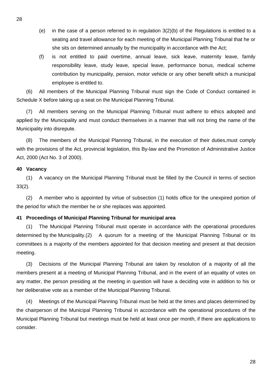- (e) in the case of a person referred to in regulation  $3(2)(b)$  of the Regulations is entitled to a seating and travel allowance for each meeting of the Municipal Planning Tribunal that he or she sits on determined annually by the municipality in accordance with the Act;
- (f) is not entitled to paid overtime, annual leave, sick leave, maternity leave, family responsibility leave, study leave, special leave, performance bonus, medical scheme contribution by municipality, pension, motor vehicle or any other benefit which a municipal employee is entitled to.

(6) All members of the Municipal Planning Tribunal must sign the Code of Conduct contained in Schedule X before taking up a seat on the Municipal Planning Tribunal.

(7) All members serving on the Municipal Planning Tribunal must adhere to ethics adopted and applied by the Municipality and must conduct themselves in a manner that will not bring the name of the Municipality into disrepute.

(8) The members of the Municipal Planning Tribunal, in the execution of their duties,must comply with the provisions of the Act, provincial legislation, this By-law and the Promotion of Administrative Justice Act, 2000 (Act No. 3 of 2000).

## **40 Vacancy**

(1) A vacancy on the Municipal Planning Tribunal must be filled by the Council in terms of section 33(2).

(2) A member who is appointed by virtue of subsection (1) holds office for the unexpired portion of the period for which the member he or she replaces was appointed.

## **41 Proceedings of Municipal Planning Tribunal for municipal area**

(1) The Municipal Planning Tribunal must operate in accordance with the operational procedures determined by the Municipality.(2) A quorum for a meeting of the Municipal Planning Tribunal or its committees is a majority of the members appointed for that decision meeting and present at that decision meeting.

(3) Decisions of the Municipal Planning Tribunal are taken by resolution of a majority of all the members present at a meeting of Municipal Planning Tribunal, and in the event of an equality of votes on any matter, the person presiding at the meeting in question will have a deciding vote in addition to his or her deliberative vote as a member of the Municipal Planning Tribunal.

(4) Meetings of the Municipal Planning Tribunal must be held at the times and places determined by the chairperson of the Municipal Planning Tribunal in accordance with the operational procedures of the Municipal Planning Tribunal but meetings must be held at least once per month, if there are applications to consider.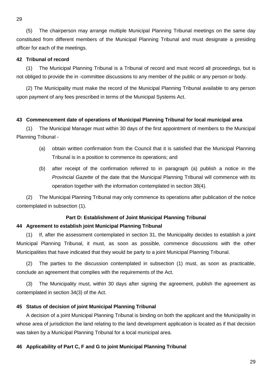(5) The chairperson may arrange multiple Municipal Planning Tribunal meetings on the same day constituted from different members of the Municipal Planning Tribunal and must designate a presiding officer for each of the meetings.

#### **42 Tribunal of record**

(1) The Municipal Planning Tribunal is a Tribunal of record and must record all proceedings, but is not obliged to provide the in -committee discussions to any member of the public or any person or body.

(2) The Municipality must make the record of the Municipal Planning Tribunal available to any person upon payment of any fees prescribed in terms of the Municipal Systems Act.

#### **43 Commencement date of operations of Municipal Planning Tribunal for local municipal area**

(1) The Municipal Manager must within 30 days of the first appointment of members to the Municipal Planning Tribunal -

- (a) obtain written confirmation from the Council that it is satisfied that the Municipal Planning Tribunal is in a position to commence its operations; and
- (b) after receipt of the confirmation referred to in paragraph (a) publish a notice in the *Provincial Gazette* of the date that the Municipal Planning Tribunal will commence with its operation together with the information contemplated in section 38(4).

(2) The Municipal Planning Tribunal may only commence its operations after publication of the notice contemplated in subsection (1).

#### **Part D: Establishment of Joint Municipal Planning Tribunal**

#### **44 Agreement to establish joint Municipal Planning Tribunal**

(1) If, after the assessment contemplated in section 31, the Municipality decides to establish a joint Municipal Planning Tribunal, it must, as soon as possible, commence discussions with the other Municipalities that have indicated that they would be party to a joint Municipal Planning Tribunal.

(2) The parties to the discussion contemplated in subsection (1) must, as soon as practicable, conclude an agreement that complies with the requirements of the Act.

(3) The Municipality must, within 30 days after signing the agreement, publish the agreement as contemplated in section 34(3) of the Act.

#### **45 Status of decision of joint Municipal Planning Tribunal**

A decision of a joint Municipal Planning Tribunal is binding on both the applicant and the Municipality in whose area of jurisdiction the land relating to the land development application is located as if that decision was taken by a Municipal Planning Tribunal for a local municipal area.

#### **46 Applicability of Part C, F and G to joint Municipal Planning Tribunal**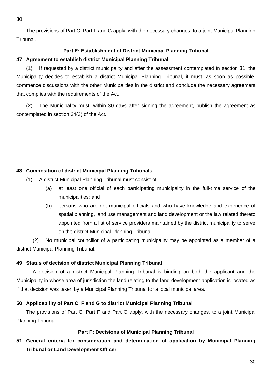The provisions of Part C, Part F and G apply, with the necessary changes, to a joint Municipal Planning Tribunal.

## **Part E: Establishment of District Municipal Planning Tribunal**

#### **47 Agreement to establish district Municipal Planning Tribunal**

(1) If requested by a district municipality and after the assessment contemplated in section 31, the Municipality decides to establish a district Municipal Planning Tribunal, it must, as soon as possible, commence discussions with the other Municipalities in the district and conclude the necessary agreement that complies with the requirements of the Act.

(2) The Municipality must, within 30 days after signing the agreement, publish the agreement as contemplated in section 34(3) of the Act.

## **48 Composition of district Municipal Planning Tribunals**

- (1) A district Municipal Planning Tribunal must consist of
	- (a) at least one official of each participating municipality in the full-time service of the municipalities; and
	- (b) persons who are not municipal officials and who have knowledge and experience of spatial planning, land use management and land development or the law related thereto appointed from a list of service providers maintained by the district municipality to serve on the district Municipal Planning Tribunal.

(2) No municipal councillor of a participating municipality may be appointed as a member of a district Municipal Planning Tribunal.

## **49 Status of decision of district Municipal Planning Tribunal**

A decision of a district Municipal Planning Tribunal is binding on both the applicant and the Municipality in whose area of jurisdiction the land relating to the land development application is located as if that decision was taken by a Municipal Planning Tribunal for a local municipal area.

## **50 Applicability of Part C, F and G to district Municipal Planning Tribunal**

The provisions of Part C, Part F and Part G apply, with the necessary changes, to a joint Municipal Planning Tribunal.

#### **Part F: Decisions of Municipal Planning Tribunal**

**51 General criteria for consideration and determination of application by Municipal Planning Tribunal or Land Development Officer**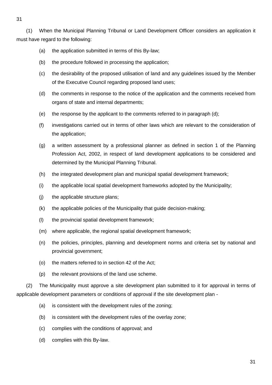31

(1) When the Municipal Planning Tribunal or Land Development Officer considers an application it must have regard to the following:

- (a) the application submitted in terms of this By-law;
- (b) the procedure followed in processing the application;
- (c) the desirability of the proposed utilisation of land and any guidelines issued by the Member of the Executive Council regarding proposed land uses;
- (d) the comments in response to the notice of the application and the comments received from organs of state and internal departments;
- (e) the response by the applicant to the comments referred to in paragraph  $(d)$ ;
- (f) investigations carried out in terms of other laws which are relevant to the consideration of the application;
- (g) a written assessment by a professional planner as defined in section 1 of the Planning Profession Act, 2002, in respect of land development applications to be considered and determined by the Municipal Planning Tribunal.
- (h) the integrated development plan and municipal spatial development framework;
- (i) the applicable local spatial development frameworks adopted by the Municipality;
- (j) the applicable structure plans;
- (k) the applicable policies of the Municipality that guide decision-making;
- (l) the provincial spatial development framework;
- (m) where applicable, the regional spatial development framework;
- (n) the policies, principles, planning and development norms and criteria set by national and provincial government;
- (o) the matters referred to in section 42 of the Act;
- (p) the relevant provisions of the land use scheme.

(2) The Municipality must approve a site development plan submitted to it for approval in terms of applicable development parameters or conditions of approval if the site development plan -

- (a) is consistent with the development rules of the zoning;
- (b) is consistent with the development rules of the overlay zone;
- (c) complies with the conditions of approval; and
- (d) complies with this By-law.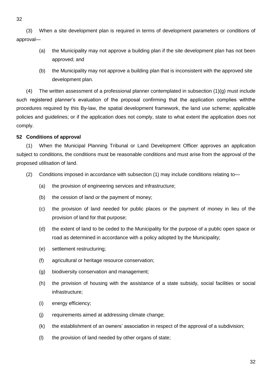32

(3) When a site development plan is required in terms of development parameters or conditions of approval—

- (a) the Municipality may not approve a building plan if the site development plan has not been approved; and
- (b) the Municipality may not approve a building plan that is inconsistent with the approved site development plan.

(4) The written assessment of a professional planner contemplated in subsection (1)(g) must include such registered planner's evaluation of the proposal confirming that the application complies withthe procedures required by this By-law, the spatial development framework, the land use scheme; applicable policies and guidelines; or if the application does not comply, state to what extent the application does not comply.

# **52 Conditions of approval**

(1) When the Municipal Planning Tribunal or Land Development Officer approves an application subject to conditions, the conditions must be reasonable conditions and must arise from the approval of the proposed utilisation of land.

- (2) Conditions imposed in accordance with subsection (1) may include conditions relating to—
	- (a) the provision of engineering services and infrastructure;
	- (b) the cession of land or the payment of money;
	- (c) the provision of land needed for public places or the payment of money in lieu of the provision of land for that purpose;
	- (d) the extent of land to be ceded to the Municipality for the purpose of a public open space or road as determined in accordance with a policy adopted by the Municipality;
	- (e) settlement restructuring;
	- (f) agricultural or heritage resource conservation;
	- (g) biodiversity conservation and management;
	- (h) the provision of housing with the assistance of a state subsidy, social facilities or social infrastructure;
	- (i) energy efficiency;
	- (j) requirements aimed at addressing climate change;
	- (k) the establishment of an owners' association in respect of the approval of a subdivision;
	- (l) the provision of land needed by other organs of state;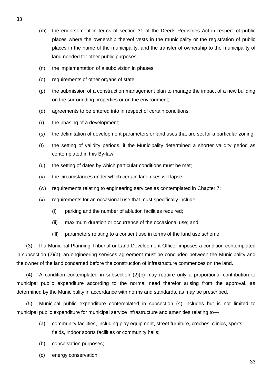- (m) the endorsement in terms of section 31 of the Deeds Registries Act in respect of public places where the ownership thereof vests in the municipality or the registration of public places in the name of the municipality, and the transfer of ownership to the municipality of land needed for other public purposes;
- (n) the implementation of a subdivision in phases;
- (o) requirements of other organs of state.
- (p) the submission of a construction management plan to manage the impact of a new building on the surrounding properties or on the environment;
- (q) agreements to be entered into in respect of certain conditions;
- (r) the phasing of a development;
- (s) the delimitation of development parameters or land uses that are set for a particular zoning;
- (t) the setting of validity periods, if the Municipality determined a shorter validity period as contemplated in this By-law;
- (u) the setting of dates by which particular conditions must be met;
- (v) the circumstances under which certain land uses will lapse;
- (w) requirements relating to engineering services as contemplated in Chapter 7;
- $(x)$  requirements for an occasional use that must specifically include  $-$ 
	- (i) parking and the number of ablution facilities required;
	- (ii) maximum duration or occurrence of the occasional use; and
	- (iii) parameters relating to a consent use in terms of the land use scheme;

(3) If a Municipal Planning Tribunal or Land Development Officer imposes a condition contemplated in subsection (2)(a), an engineering services agreement must be concluded between the Municipality and the owner of the land concerned before the construction of infrastructure commences on the land.

(4) A condition contemplated in subsection (2)(b) may require only a proportional contribution to municipal public expenditure according to the normal need therefor arising from the approval, as determined by the Municipality in accordance with norms and standards, as may be prescribed.

(5) Municipal public expenditure contemplated in subsection (4) includes but is not limited to municipal public expenditure for municipal service infrastructure and amenities relating to—

- (a) community facilities, including play equipment, street furniture, crèches, clinics, sports fields, indoor sports facilities or community halls;
- (b) conservation purposes;
- (c) energy conservation;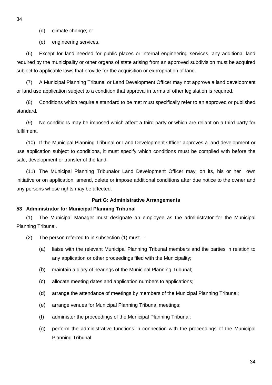- (d) climate change; or
- (e) engineering services.

(6) Except for land needed for public places or internal engineering services, any additional land required by the municipality or other organs of state arising from an approved subdivision must be acquired subject to applicable laws that provide for the acquisition or expropriation of land.

(7) A Municipal Planning Tribunal or Land Development Officer may not approve a land development or land use application subject to a condition that approval in terms of other legislation is required.

(8) Conditions which require a standard to be met must specifically refer to an approved or published standard.

(9) No conditions may be imposed which affect a third party or which are reliant on a third party for fulfilment.

(10) If the Municipal Planning Tribunal or Land Development Officer approves a land development or use application subject to conditions, it must specify which conditions must be complied with before the sale, development or transfer of the land.

(11) The Municipal Planning Tribunalor Land Development Officer may, on its, his or her own initiative or on application, amend, delete or impose additional conditions after due notice to the owner and any persons whose rights may be affected.

#### **Part G: Administrative Arrangements**

## **53 Administrator for Municipal Planning Tribunal**

(1) The Municipal Manager must designate an employee as the administrator for the Municipal Planning Tribunal.

- (2) The person referred to in subsection (1) must—
	- (a) liaise with the relevant Municipal Planning Tribunal members and the parties in relation to any application or other proceedings filed with the Municipality;
	- (b) maintain a diary of hearings of the Municipal Planning Tribunal;
	- (c) allocate meeting dates and application numbers to applications;
	- (d) arrange the attendance of meetings by members of the Municipal Planning Tribunal;
	- (e) arrange venues for Municipal Planning Tribunal meetings;
	- (f) administer the proceedings of the Municipal Planning Tribunal;
	- (g) perform the administrative functions in connection with the proceedings of the Municipal Planning Tribunal;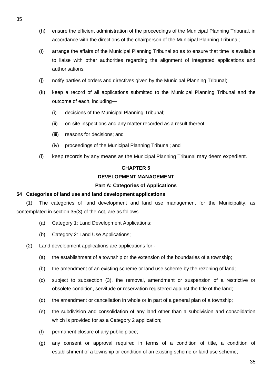- (h) ensure the efficient administration of the proceedings of the Municipal Planning Tribunal, in accordance with the directions of the chairperson of the Municipal Planning Tribunal;
- (i) arrange the affairs of the Municipal Planning Tribunal so as to ensure that time is available to liaise with other authorities regarding the alignment of integrated applications and authorisations;
- (j) notify parties of orders and directives given by the Municipal Planning Tribunal;
- (k) keep a record of all applications submitted to the Municipal Planning Tribunal and the outcome of each, including—
	- (i) decisions of the Municipal Planning Tribunal;
	- (ii) on-site inspections and any matter recorded as a result thereof;
	- (iii) reasons for decisions; and
	- (iv) proceedings of the Municipal Planning Tribunal; and
- (l) keep records by any means as the Municipal Planning Tribunal may deem expedient.

#### **CHAPTER 5**

#### **DEVELOPMENT MANAGEMENT**

#### **Part A: Categories of Applications**

#### **54 Categories of land use and land development applications**

(1) The categories of land development and land use management for the Municipality, as contemplated in section 35(3) of the Act, are as follows -

- (a) Category 1: Land Development Applications;
- (b) Category 2: Land Use Applications;

(2) Land development applications are applications for -

- (a) the establishment of a township or the extension of the boundaries of a township;
- (b) the amendment of an existing scheme or land use scheme by the rezoning of land;
- (c) subject to subsection (3), the removal, amendment or suspension of a restrictive or obsolete condition, servitude or reservation registered against the title of the land;
- (d) the amendment or cancellation in whole or in part of a general plan of a township;
- (e) the subdivision and consolidation of any land other than a subdivision and consolidation which is provided for as a Category 2 application;
- (f) permanent closure of any public place;
- (g) any consent or approval required in terms of a condition of title, a condition of establishment of a township or condition of an existing scheme or land use scheme;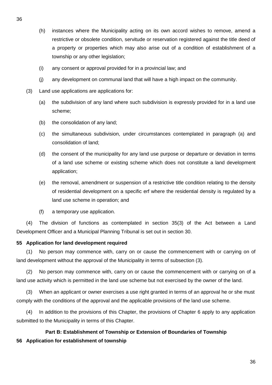- (h) instances where the Municipality acting on its own accord wishes to remove, amend a restrictive or obsolete condition, servitude or reservation registered against the title deed of a property or properties which may also arise out of a condition of establishment of a township or any other legislation;
- (i) any consent or approval provided for in a provincial law; and
- (j) any development on communal land that will have a high impact on the community.
- (3) Land use applications are applications for:
	- (a) the subdivision of any land where such subdivision is expressly provided for in a land use scheme;
	- (b) the consolidation of any land;
	- (c) the simultaneous subdivision, under circumstances contemplated in paragraph (a) and consolidation of land;
	- (d) the consent of the municipality for any land use purpose or departure or deviation in terms of a land use scheme or existing scheme which does not constitute a land development application;
	- (e) the removal, amendment or suspension of a restrictive title condition relating to the density of residential development on a specific erf where the residential density is regulated by a land use scheme in operation; and
	- (f) a temporary use application.

(4) The division of functions as contemplated in section 35(3) of the Act between a Land Development Officer and a Municipal Planning Tribunal is set out in section 30.

## **55 Application for land development required**

(1) No person may commence with, carry on or cause the commencement with or carrying on of land development without the approval of the Municipality in terms of subsection (3).

(2) No person may commence with, carry on or cause the commencement with or carrying on of a land use activity which is permitted in the land use scheme but not exercised by the owner of the land.

(3) When an applicant or owner exercises a use right granted in terms of an approval he or she must comply with the conditions of the approval and the applicable provisions of the land use scheme.

(4) In addition to the provisions of this Chapter, the provisions of Chapter 6 apply to any application submitted to the Municipality in terms of this Chapter.

# **Part B: Establishment of Township or Extension of Boundaries of Township 56 Application for establishment of township**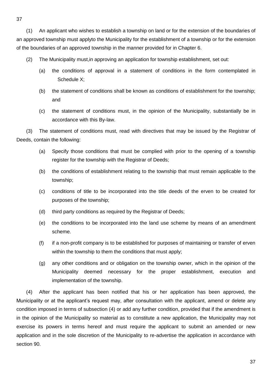(1) An applicant who wishes to establish a township on land or for the extension of the boundaries of an approved township must applyto the Municipality for the establishment of a township or for the extension of the boundaries of an approved township in the manner provided for in Chapter 6.

- (2) The Municipality must,in approving an application for township establishment, set out:
	- (a) the conditions of approval in a statement of conditions in the form contemplated in Schedule X;
	- (b) the statement of conditions shall be known as conditions of establishment for the township; and
	- (c) the statement of conditions must, in the opinion of the Municipality, substantially be in accordance with this By-law.

(3) The statement of conditions must, read with directives that may be issued by the Registrar of Deeds, contain the following:

- (a) Specify those conditions that must be complied with prior to the opening of a township register for the township with the Registrar of Deeds;
- (b) the conditions of establishment relating to the township that must remain applicable to the township;
- (c) conditions of title to be incorporated into the title deeds of the erven to be created for purposes of the township;
- (d) third party conditions as required by the Registrar of Deeds;
- (e) the conditions to be incorporated into the land use scheme by means of an amendment scheme.
- (f) if a non-profit company is to be established for purposes of maintaining or transfer of erven within the township to them the conditions that must apply;
- (g) any other conditions and or obligation on the township owner, which in the opinion of the Municipality deemed necessary for the proper establishment, execution and implementation of the township.

(4) After the applicant has been notified that his or her application has been approved, the Municipality or at the applicant's request may, after consultation with the applicant, amend or delete any condition imposed in terms of subsection (4) or add any further condition, provided that if the amendment is in the opinion of the Municipality so material as to constitute a new application, the Municipality may not exercise its powers in terms hereof and must require the applicant to submit an amended or new application and in the sole discretion of the Municipality to re-advertise the application in accordance with section 90.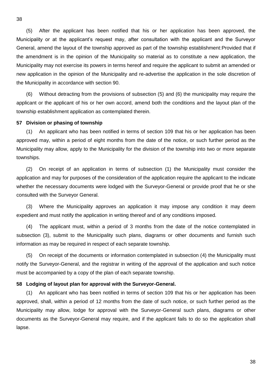(5) After the applicant has been notified that his or her application has been approved, the Municipality or at the applicant's request may, after consultation with the applicant and the Surveyor General, amend the layout of the township approved as part of the township establishment:Provided that if the amendment is in the opinion of the Municipality so material as to constitute a new application, the Municipality may not exercise its powers in terms hereof and require the applicant to submit an amended or new application in the opinion of the Municipality and re-advertise the application in the sole discretion of the Municipality in accordance with section 90.

(6) Without detracting from the provisions of subsection (5) and (6) the municipality may require the applicant or the applicant of his or her own accord, amend both the conditions and the layout plan of the township establishment application as contemplated therein.

#### **57 Division or phasing of township**

(1) An applicant who has been notified in terms of section 109 that his or her application has been approved may, within a period of eight months from the date of the notice, or such further period as the Municipality may allow, apply to the Municipality for the division of the township into two or more separate townships.

(2) On receipt of an application in terms of subsection (1) the Municipality must consider the application and may for purposes of the consideration of the application require the applicant to the indicate whether the necessary documents were lodged with the Surveyor-General or provide proof that he or she consulted with the Surveyor General.

(3) Where the Municipality approves an application it may impose any condition it may deem expedient and must notify the application in writing thereof and of any conditions imposed.

(4) The applicant must, within a period of 3 months from the date of the notice contemplated in subsection (3), submit to the Municipality such plans, diagrams or other documents and furnish such information as may be required in respect of each separate township.

(5) On receipt of the documents or information contemplated in subsection (4) the Municipality must notify the Surveyor-General, and the registrar in writing of the approval of the application and such notice must be accompanied by a copy of the plan of each separate township.

## **58 Lodging of layout plan for approval with the Surveyor-General.**

(1) An applicant who has been notified in terms of section 109 that his or her application has been approved, shall, within a period of 12 months from the date of such notice, or such further period as the Municipality may allow, lodge for approval with the Surveyor-General such plans, diagrams or other documents as the Surveyor-General may require, and if the applicant fails to do so the application shall lapse.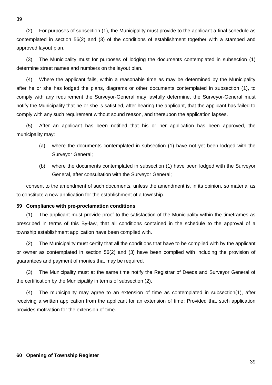(2) For purposes of subsection (1), the Municipality must provide to the applicant a final schedule as contemplated in section 56(2) and (3) of the conditions of establishment together with a stamped and approved layout plan.

(3) The Municipality must for purposes of lodging the documents contemplated in subsection (1) determine street names and numbers on the layout plan.

(4) Where the applicant fails, within a reasonable time as may be determined by the Municipality after he or she has lodged the plans, diagrams or other documents contemplated in subsection (1), to comply with any requirement the Surveyor-General may lawfully determine, the Surveyor-General must notify the Municipality that he or she is satisfied, after hearing the applicant, that the applicant has failed to comply with any such requirement without sound reason, and thereupon the application lapses.

(5) After an applicant has been notified that his or her application has been approved, the municipality may:

- (a) where the documents contemplated in subsection (1) have not yet been lodged with the Surveyor General;
- (b) where the documents contemplated in subsection (1) have been lodged with the Surveyor General, after consultation with the Surveyor General;

consent to the amendment of such documents, unless the amendment is, in its opinion, so material as to constitute a new application for the establishment of a township.

# **59 Compliance with pre-proclamation conditions**

(1) The applicant must provide proof to the satisfaction of the Municipality within the timeframes as prescribed in terms of this By-law, that all conditions contained in the schedule to the approval of a township establishment application have been complied with.

(2) The Municipality must certify that all the conditions that have to be complied with by the applicant or owner as contemplated in section 56(2) and (3) have been complied with including the provision of guarantees and payment of monies that may be required.

(3) The Municipality must at the same time notify the Registrar of Deeds and Surveyor General of the certification by the Municipality in terms of subsection (2).

(4) The municipality may agree to an extension of time as contemplated in subsection(1), after receiving a written application from the applicant for an extension of time: Provided that such application provides motivation for the extension of time.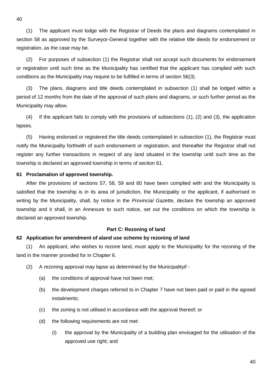(1) The applicant must lodge with the Registrar of Deeds the plans and diagrams contemplated in section 58 as approved by the Surveyor-General together with the relative title deeds for endorsement or registration, as the case may be.

(2) For purposes of subsection (1) the Registrar shall not accept such documents for endorsement or registration until such time as the Municipality has certified that the applicant has complied with such conditions as the Municipality may require to be fulfilled in terms of section 56(3).

(3) The plans, diagrams and title deeds contemplated in subsection (1) shall be lodged within a period of 12 months from the date of the approval of such plans and diagrams, or such further period as the Municipality may allow.

(4) If the applicant fails to comply with the provisions of subsections (1), (2) and (3), the application lapses.

(5) Having endorsed or registered the title deeds contemplated in subsection (1), the Registrar must notify the Municipality forthwith of such endorsement or registration, and thereafter the Registrar shall not register any further transactions in respect of any land situated in the township until such time as the township is declared an approved township in terms of section 61.

#### **61 Proclamation of approved township.**

After the provisions of sections 57, 58, 59 and 60 have been complied with and the Municipality is satisfied that the township is in its area of jurisdiction, the Municipality or the applicant, if authorised in writing by the Municipality, shall, by notice in the *Provincial Gazette*, declare the township an approved township and it shall, in an Annexure to such notice, set out the conditions on which the township is declared an approved township.

#### **Part C: Rezoning of land**

## **62 Application for amendment of aland use scheme by rezoning of land**

(1) An applicant, who wishes to rezone land, must apply to the Municipality for the rezoning of the land in the manner provided for in Chapter 6.

- (2) A rezoning approval may lapse as determined by the Municipalityif
	- (a) the conditions of approval have not been met;
	- (b) the development charges referred to in Chapter 7 have not been paid or paid in the agreed instalments;
	- (c) the zoning is not utilised in accordance with the approval thereof; or
	- (d) the following requirements are not met:
		- (i) the approval by the Municipality of a building plan envisaged for the utilisation of the approved use right; and

40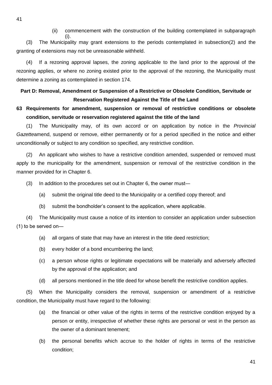(ii) commencement with the construction of the building contemplated in subparagraph

(i). (3) The Municipality may grant extensions to the periods contemplated in subsection(2) and the granting of extensions may not be unreasonable withheld.

(4) If a rezoning approval lapses, the zoning applicable to the land prior to the approval of the rezoning applies, or where no zoning existed prior to the approval of the rezoning, the Municipality must determine a zoning as contemplated in section 174.

# **Part D: Removal, Amendment or Suspension of a Restrictive or Obsolete Condition, Servitude or Reservation Registered Against the Title of the Land**

# **63 Requirements for amendment, suspension or removal of restrictive conditions or obsolete condition, servitude or reservation registered against the title of the land**

(1) The Municipality may, of its own accord or on application by notice in the *Provincial Gazette*amend, suspend or remove, either permanently or for a period specified in the notice and either unconditionally or subject to any condition so specified, any restrictive condition.

(2) An applicant who wishes to have a restrictive condition amended, suspended or removed must apply to the municipality for the amendment, suspension or removal of the restrictive condition in the manner provided for in Chapter 6.

(3) In addition to the procedures set out in Chapter 6, the owner must―

- (a) submit the original title deed to the Municipality or a certified copy thereof; and
- (b) submit the bondholder's consent to the application, where applicable.

(4) The Municipality must cause a notice of its intention to consider an application under subsection (1) to be served on―

- (a) all organs of state that may have an interest in the title deed restriction;
- (b) every holder of a bond encumbering the land;
- (c) a person whose rights or legitimate expectations will be materially and adversely affected by the approval of the application; and
- (d) all persons mentioned in the title deed for whose benefit the restrictive condition applies.

(5) When the Municipality considers the removal, suspension or amendment of a restrictive condition, the Municipality must have regard to the following:

- (a) the financial or other value of the rights in terms of the restrictive condition enjoyed by a person or entity, irrespective of whether these rights are personal or vest in the person as the owner of a dominant tenement;
- (b) the personal benefits which accrue to the holder of rights in terms of the restrictive condition;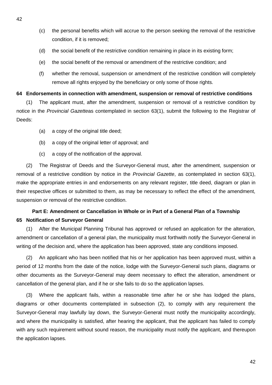- (c) the personal benefits which will accrue to the person seeking the removal of the restrictive condition, if it is removed;
- (d) the social benefit of the restrictive condition remaining in place in its existing form;
- (e) the social benefit of the removal or amendment of the restrictive condition; and
- (f) whether the removal, suspension or amendment of the restrictive condition will completely remove all rights enjoyed by the beneficiary or only some of those rights.

## **64 Endorsements in connection with amendment, suspension or removal of restrictive conditions**

(1) The applicant must, after the amendment, suspension or removal of a restrictive condition by notice in the *Provincial Gazette*as contemplated in section 63(1), submit the following to the Registrar of Deeds:

- (a) a copy of the original title deed;
- (b) a copy of the original letter of approval; and
- (c) a copy of the notification of the approval.

(2) The Registrar of Deeds and the Surveyor-General must, after the amendment, suspension or removal of a restrictive condition by notice in the *Provincial Gazette*, as contemplated in section 63(1), make the appropriate entries in and endorsements on any relevant register, title deed, diagram or plan in their respective offices or submitted to them, as may be necessary to reflect the effect of the amendment, suspension or removal of the restrictive condition.

# **Part E: Amendment or Cancellation in Whole or in Part of a General Plan of a Township 65 Notification of Surveyor General**

(1) After the Municipal Planning Tribunal has approved or refused an application for the alteration, amendment or cancellation of a general plan, the municipality must forthwith notify the Surveyor-General in writing of the decision and, where the application has been approved, state any conditions imposed.

(2) An applicant who has been notified that his or her application has been approved must, within a period of 12 months from the date of the notice, lodge with the Surveyor-General such plans, diagrams or other documents as the Surveyor-General may deem necessary to effect the alteration, amendment or cancellation of the general plan, and if he or she fails to do so the application lapses.

(3) Where the applicant fails, within a reasonable time after he or she has lodged the plans, diagrams or other documents contemplated in subsection (2), to comply with any requirement the Surveyor-General may lawfully lay down, the Surveyor-General must notify the municipality accordingly, and where the municipality is satisfied, after hearing the applicant, that the applicant has failed to comply with any such requirement without sound reason, the municipality must notify the applicant, and thereupon the application lapses.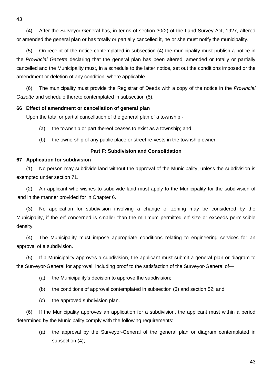(4) After the Surveyor-General has, in terms of section 30(2) of the Land Survey Act, 1927, altered or amended the general plan or has totally or partially cancelled it, he or she must notify the municipality.

(5) On receipt of the notice contemplated in subsection (4) the municipality must publish a notice in the *Provincial Gazette* declaring that the general plan has been altered, amended or totally or partially cancelled and the Municipality must, in a schedule to the latter notice, set out the conditions imposed or the amendment or deletion of any condition, where applicable.

(6) The municipality must provide the Registrar of Deeds with a copy of the notice in the *Provincial Gazette* and schedule thereto contemplated in subsection (5).

## **66 Effect of amendment or cancellation of general plan**

Upon the total or partial cancellation of the general plan of a township -

- (a) the township or part thereof ceases to exist as a township; and
- (b) the ownership of any public place or street re-vests in the township owner.

## **Part F: Subdivision and Consolidation**

## **67 Application for subdivision**

(1) No person may subdivide land without the approval of the Municipality, unless the subdivision is exempted under section 71.

(2) An applicant who wishes to subdivide land must apply to the Municipality for the subdivision of land in the manner provided for in Chapter 6.

(3) No application for subdivision involving a change of zoning may be considered by the Municipality, if the erf concerned is smaller than the minimum permitted erf size or exceeds permissible density.

(4) The Municipality must impose appropriate conditions relating to engineering services for an approval of a subdivision.

(5) If a Municipality approves a subdivision, the applicant must submit a general plan or diagram to the Surveyor-General for approval, including proof to the satisfaction of the Surveyor-General of—

- (a) the Municipality's decision to approve the subdivision;
- (b) the conditions of approval contemplated in subsection (3) and section 52; and
- (c) the approved subdivision plan.

(6) If the Municipality approves an application for a subdivision, the applicant must within a period determined by the Municipality comply with the following requirements:

(a) the approval by the Surveyor-General of the general plan or diagram contemplated in subsection (4);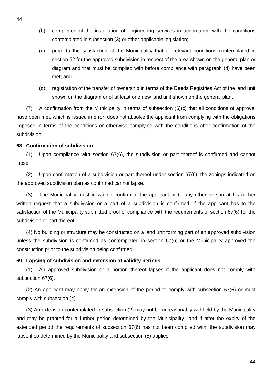- (b) completion of the installation of engineering services in accordance with the conditions contemplated in subsection (3) or other applicable legislation;
- (c) proof to the satisfaction of the Municipality that all relevant conditions contemplated in section 52 for the approved subdivision in respect of the area shown on the general plan or diagram and that must be complied with before compliance with paragraph (d) have been met; and
- (d) registration of the transfer of ownership in terms of the Deeds Registries Act of the land unit shown on the diagram or of at least one new land unit shown on the general plan.

(7) A confirmation from the Municipality in terms of subsection (6)(c) that all conditions of approval have been met, which is issued in error, does not absolve the applicant from complying with the obligations imposed in terms of the conditions or otherwise complying with the conditions after confirmation of the subdivision.

#### **68 Confirmation of subdivision**

(1) Upon compliance with section 67(6), the subdivision or part thereof is confirmed and cannot lapse.

(2) Upon confirmation of a subdivision or part thereof under section 67(6), the zonings indicated on the approved subdivision plan as confirmed cannot lapse.

(3) The Municipality must in writing confirm to the applicant or to any other person at his or her written request that a subdivision or a part of a subdivision is confirmed, if the applicant has to the satisfaction of the Municipality submitted proof of compliance with the requirements of section 67(6) for the subdivision or part thereof.

(4) No building or structure may be constructed on a land unit forming part of an approved subdivision unless the subdivision is confirmed as contemplated in section 67(6) or the Municipality approved the construction prior to the subdivision being confirmed.

## **69 Lapsing of subdivision and extension of validity periods**

(1) An approved subdivision or a portion thereof lapses if the applicant does not comply with subsection 67(6).

(2) An applicant may apply for an extension of the period to comply with subsection 67(6) or must comply with subsection (4).

(3) An extension contemplated in subsection (2) may not be unreasonably withheld by the Municipality and may be granted for a further period determined by the Municipality and if after the expiry of the extended period the requirements of subsection 67(6) has not been complied with, the subdivision may lapse if so determined by the Municipality and subsection (5) applies.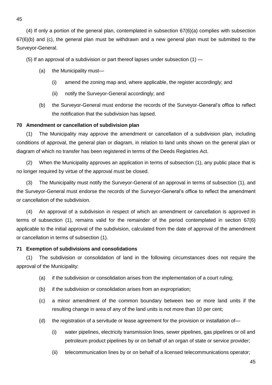(4) If only a portion of the general plan, contemplated in subsection 67(6)(a) complies with subsection 67(6)(b) and (c), the general plan must be withdrawn and a new general plan must be submitted to the Surveyor-General.

(5) If an approval of a subdivision or part thereof lapses under subsection  $(1)$  —

- (a) the Municipality must—
	- (i) amend the zoning map and, where applicable, the register accordingly; and
	- (ii) notify the Surveyor-General accordingly; and
- (b) the Surveyor-General must endorse the records of the Surveyor-General's office to reflect the notification that the subdivision has lapsed.

# **70 Amendment or cancellation of subdivision plan**

(1) The Municipality may approve the amendment or cancellation of a subdivision plan, including conditions of approval, the general plan or diagram, in relation to land units shown on the general plan or diagram of which no transfer has been registered in terms of the Deeds Registries Act.

(2) When the Municipality approves an application in terms of subsection (1), any public place that is no longer required by virtue of the approval must be closed.

(3) The Municipality must notify the Surveyor-General of an approval in terms of subsection (1), and the Surveyor-General must endorse the records of the Surveyor-General's office to reflect the amendment or cancellation of the subdivision.

(4) An approval of a subdivision in respect of which an amendment or cancellation is approved in terms of subsection (1), remains valid for the remainder of the period contemplated in section 67(6) applicable to the initial approval of the subdivision, calculated from the date of approval of the amendment or cancellation in terms of subsection (1).

# **71 Exemption of subdivisions and consolidations**

(1) The subdivision or consolidation of land in the following circumstances does not require the approval of the Municipality:

- (a) if the subdivision or consolidation arises from the implementation of a court ruling;
- (b) if the subdivision or consolidation arises from an expropriation;
- (c) a minor amendment of the common boundary between two or more land units if the resulting change in area of any of the land units is not more than 10 per cent;
- (d) the registration of a servitude or lease agreement for the provision or installation of—
	- (i) water pipelines, electricity transmission lines, sewer pipelines, gas pipelines or oil and petroleum product pipelines by or on behalf of an organ of state or service provider;
	- (ii) telecommunication lines by or on behalf of a licensed telecommunications operator;

45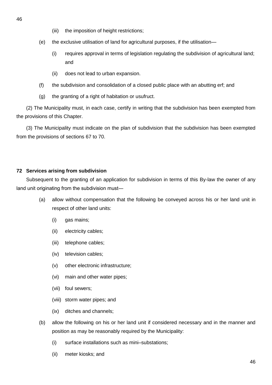- (iii) the imposition of height restrictions;
- (e) the exclusive utilisation of land for agricultural purposes, if the utilisation—
	- (i) requires approval in terms of legislation regulating the subdivision of agricultural land; and
	- (ii) does not lead to urban expansion.
- (f) the subdivision and consolidation of a closed public place with an abutting erf; and
- (g) the granting of a right of habitation or usufruct.

(2) The Municipality must, in each case, certify in writing that the subdivision has been exempted from the provisions of this Chapter.

(3) The Municipality must indicate on the plan of subdivision that the subdivision has been exempted from the provisions of sections 67 to 70.

# **72 Services arising from subdivision**

Subsequent to the granting of an application for subdivision in terms of this By-law the owner of any land unit originating from the subdivision must―

- (a) allow without compensation that the following be conveyed across his or her land unit in respect of other land units:
	- (i) gas mains;
	- (ii) electricity cables;
	- (iii) telephone cables;
	- (iv) television cables;
	- (v) other electronic infrastructure;
	- (vi) main and other water pipes;
	- (vii) foul sewers;
	- (viii) storm water pipes; and
	- (ix) ditches and channels;
- (b) allow the following on his or her land unit if considered necessary and in the manner and position as may be reasonably required by the Municipality:
	- (i) surface installations such as mini–substations;
	- (ii) meter kiosks; and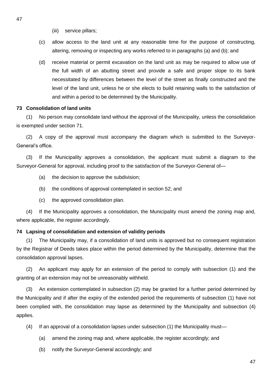- (iii) service pillars;
- (c) allow access to the land unit at any reasonable time for the purpose of constructing, altering, removing or inspecting any works referred to in paragraphs (a) and (b); and
- (d) receive material or permit excavation on the land unit as may be required to allow use of the full width of an abutting street and provide a safe and proper slope to its bank necessitated by differences between the level of the street as finally constructed and the level of the land unit, unless he or she elects to build retaining walls to the satisfaction of and within a period to be determined by the Municipality.

## **73 Consolidation of land units**

(1) No person may consolidate land without the approval of the Municipality, unless the consolidation is exempted under section 71.

(2) A copy of the approval must accompany the diagram which is submitted to the Surveyor-General's office.

(3) If the Municipality approves a consolidation, the applicant must submit a diagram to the Surveyor-General for approval, including proof to the satisfaction of the Surveyor-General of—

- (a) the decision to approve the subdivision;
- (b) the conditions of approval contemplated in section 52; and
- (c) the approved consolidation plan.

(4) If the Municipality approves a consolidation, the Municipality must amend the zoning map and, where applicable, the register accordingly.

## **74 Lapsing of consolidation and extension of validity periods**

(1) The Municipality may, if a consolidation of land units is approved but no consequent registration by the Registrar of Deeds takes place within the period determined by the Municipality, determine that the consolidation approval lapses.

(2) An applicant may apply for an extension of the period to comply with subsection (1) and the granting of an extension may not be unreasonably withheld.

(3) An extension contemplated in subsection (2) may be granted for a further period determined by the Municipality and if after the expiry of the extended period the requirements of subsection (1) have not been complied with, the consolidation may lapse as determined by the Municipality and subsection (4) applies.

- (4) If an approval of a consolidation lapses under subsection (1) the Municipality must—
	- (a) amend the zoning map and, where applicable, the register accordingly; and
	- (b) notify the Surveyor-General accordingly; and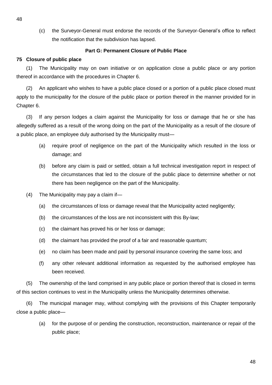(c) the Surveyor-General must endorse the records of the Surveyor-General's office to reflect the notification that the subdivision has lapsed.

## **Part G: Permanent Closure of Public Place**

## **75 Closure of public place**

(1) The Municipality may on own initiative or on application close a public place or any portion thereof in accordance with the procedures in Chapter 6.

(2) An applicant who wishes to have a public place closed or a portion of a public place closed must apply to the municipality for the closure of the public place or portion thereof in the manner provided for in Chapter 6.

(3) If any person lodges a claim against the Municipality for loss or damage that he or she has allegedly suffered as a result of the wrong doing on the part of the Municipality as a result of the closure of a public place, an employee duly authorised by the Municipality must—

- (a) require proof of negligence on the part of the Municipality which resulted in the loss or damage; and
- (b) before any claim is paid or settled, obtain a full technical investigation report in respect of the circumstances that led to the closure of the public place to determine whether or not there has been negligence on the part of the Municipality.
- (4) The Municipality may pay a claim if—
	- (a) the circumstances of loss or damage reveal that the Municipality acted negligently;
	- (b) the circumstances of the loss are not inconsistent with this By-law;
	- (c) the claimant has proved his or her loss or damage;
	- (d) the claimant has provided the proof of a fair and reasonable quantum;
	- (e) no claim has been made and paid by personal insurance covering the same loss; and
	- (f) any other relevant additional information as requested by the authorised employee has been received.

(5) The ownership of the land comprised in any public place or portion thereof that is closed in terms of this section continues to vest in the Municipality unless the Municipality determines otherwise.

(6) The municipal manager may, without complying with the provisions of this Chapter temporarily close a public place—

(a) for the purpose of or pending the construction, reconstruction, maintenance or repair of the public place;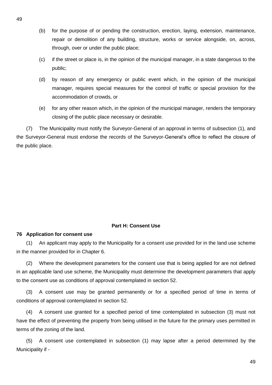- (b) for the purpose of or pending the construction, erection, laying, extension, maintenance, repair or demolition of any building, structure, works or service alongside, on, across, through, over or under the public place;
- (c) if the street or place is, in the opinion of the municipal manager, in a state dangerous to the public;
- (d) by reason of any emergency or public event which, in the opinion of the municipal manager, requires special measures for the control of traffic or special provision for the accommodation of crowds, or
- (e) for any other reason which, in the opinion of the municipal manager, renders the temporary closing of the public place necessary or desirable.

(7) The Municipality must notify the Surveyor-General of an approval in terms of subsection (1), and the Surveyor-General must endorse the records of the Surveyor-General's office to reflect the closure of the public place.

# **Part H: Consent Use**

# **76 Application for consent use**

(1) An applicant may apply to the Municipality for a consent use provided for in the land use scheme in the manner provided for in Chapter 6.

(2) Where the development parameters for the consent use that is being applied for are not defined in an applicable land use scheme, the Municipality must determine the development parameters that apply to the consent use as conditions of approval contemplated in section 52.

(3) A consent use may be granted permanently or for a specified period of time in terms of conditions of approval contemplated in section 52.

(4) A consent use granted for a specified period of time contemplated in subsection (3) must not have the effect of preventing the property from being utilised in the future for the primary uses permitted in terms of the zoning of the land.

(5) A consent use contemplated in subsection (1) may lapse after a period determined by the Municipality if -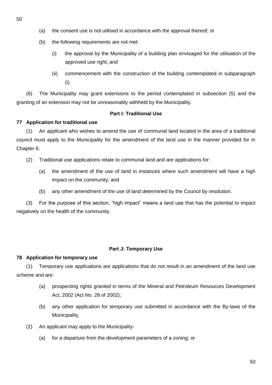- (a) the consent use is not utilised in accordance with the approval thereof; or
- (b) the following requirements are not met:
	- (i) the approval by the Municipality of a building plan envisaged for the utilisation of the approved use right; and
	- (ii) commencement with the construction of the building contemplated in subparagraph (i).

(6) The Municipality may grant extensions to the period contemplated in subsection (5) and the granting of an extension may not be unreasonably withheld by the Municipality.

# **Part I: Traditional Use**

# **77 Application for traditional use**

(1) An applicant who wishes to amend the use of communal land located in the area of a traditional council must apply to the Municipality for the amendment of the land use in the manner provided for in Chapter 6.

- (2) Traditional use applications relate to communal land and are applications for:
	- (a) the amendment of the use of land in instances where such amendment will have a high impact on the community; and
	- (b) any other amendment of the use of land determined by the Council by resolution.

(3) For the purpose of this section, "high impact" means a land use that has the potential to impact negatively on the health of the community.

# **Part J: Temporary Use**

# **78 Application for temporary use**

(1) Temporary use applications are applications that do not result in an amendment of the land use scheme and are:

- (a) prospecting rights granted in terms of the Mineral and Petroleum Resources Development Act, 2002 (Act No. 28 of 2002);
- (b) any other application for temporary use submitted in accordance with the By-laws of the Municipality.
- (2) An applicant may apply to the Municipality-
	- (a) for a departure from the development parameters of a zoning; or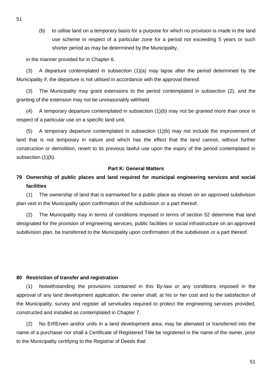(b) to utilise land on a temporary basis for a purpose for which no provision is made in the land use scheme in respect of a particular zone for a period not exceeding 5 years or such shorter period as may be determined by the Municipality,

in the manner provided for in Chapter 6.

(3) A departure contemplated in subsection (1)(a) may lapse after the period determined by the Municipality if, the departure is not utilised in accordance with the approval thereof.

(3) The Municipality may grant extensions to the period contemplated in subsection (2), and the granting of the extension may not be unreasonably withheld.

(4) A temporary departure contemplated in subsection (1)(b) may not be granted more than once in respect of a particular use on a specific land unit.

(5) A temporary departure contemplated in subsection (1)(b) may not include the improvement of land that is not temporary in nature and which has the effect that the land cannot, without further construction or demolition, revert to its previous lawful use upon the expiry of the period contemplated in subsection (1)(b).

## **Part K: General Matters**

# **79 Ownership of public places and land required for municipal engineering services and social facilities**

(1) The ownership of land that is earmarked for a public place as shown on an approved subdivision plan vest in the Municipality upon confirmation of the subdivision or a part thereof.

(2) The Municipality may in terms of conditions imposed in terms of section 52 determine that land designated for the provision of engineering services, public facilities or social infrastructure on an approved subdivision plan, be transferred to the Municipality upon confirmation of the subdivision or a part thereof.

#### **80 Restriction of transfer and registration**

(1) Notwithstanding the provisions contained in this By-law or any conditions imposed in the approval of any land development application, the owner shall, at his or her cost and to the satisfaction of the Municipality, survey and register all servitudes required to protect the engineering services provided, constructed and installed as contemplated in Chapter 7.

(2) No Erf/Erven and/or units in a land development area, may be alienated or transferred into the name of a purchaser nor shall a Certificate of Registered Title be registered in the name of the owner, prior to the Municipality certifying to the Registrar of Deeds that:

51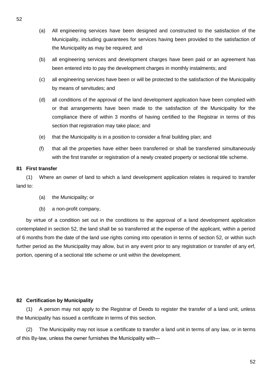- (a) All engineering services have been designed and constructed to the satisfaction of the Municipality, including guarantees for services having been provided to the satisfaction of the Municipality as may be required; and
- (b) all engineering services and development charges have been paid or an agreement has been entered into to pay the development charges in monthly instalments; and
- (c) all engineering services have been or will be protected to the satisfaction of the Municipality by means of servitudes; and
- (d) all conditions of the approval of the land development application have been complied with or that arrangements have been made to the satisfaction of the Municipality for the compliance there of within 3 months of having certified to the Registrar in terms of this section that registration may take place; and
- (e) that the Municipality is in a position to consider a final building plan; and
- (f) that all the properties have either been transferred or shall be transferred simultaneously with the first transfer or registration of a newly created property or sectional title scheme.

# **81 First transfer**

(1) Where an owner of land to which a land development application relates is required to transfer land to:

- (a) the Municipality; or
- (b) a non-profit company,

by virtue of a condition set out in the conditions to the approval of a land development application contemplated in section 52, the land shall be so transferred at the expense of the applicant, within a period of 6 months from the date of the land use rights coming into operation in terms of section 52, or within such further period as the Municipality may allow, but in any event prior to any registration or transfer of any erf, portion, opening of a sectional title scheme or unit within the development.

# **82 Certification by Municipality**

(1) A person may not apply to the Registrar of Deeds to register the transfer of a land unit, unless the Municipality has issued a certificate in terms of this section.

(2) The Municipality may not issue a certificate to transfer a land unit in terms of any law, or in terms of this By-law, unless the owner furnishes the Municipality with―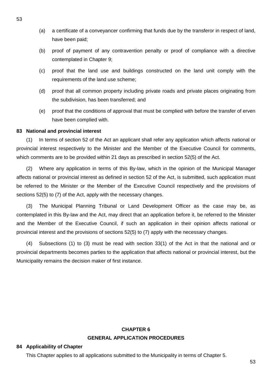- (a) a certificate of a conveyancer confirming that funds due by the transferor in respect of land, have been paid;
- (b) proof of payment of any contravention penalty or proof of compliance with a directive contemplated in Chapter 9;
- (c) proof that the land use and buildings constructed on the land unit comply with the requirements of the land use scheme;
- (d) proof that all common property including private roads and private places originating from the subdivision, has been transferred; and
- (e) proof that the conditions of approval that must be complied with before the transfer of erven have been complied with.

## **83 National and provincial interest**

(1) In terms of section 52 of the Act an applicant shall refer any application which affects national or provincial interest respectively to the Minister and the Member of the Executive Council for comments, which comments are to be provided within 21 days as prescribed in section 52(5) of the Act.

(2) Where any application in terms of this By-law, which in the opinion of the Municipal Manager affects national or provincial interest as defined in section 52 of the Act, is submitted, such application must be referred to the Minister or the Member of the Executive Council respectively and the provisions of sections 52(5) to (7) of the Act, apply with the necessary changes.

(3) The Municipal Planning Tribunal or Land Development Officer as the case may be, as contemplated in this By-law and the Act, may direct that an application before it, be referred to the Minister and the Member of the Executive Council, if such an application in their opinion affects national or provincial interest and the provisions of sections 52(5) to (7) apply with the necessary changes.

(4) Subsections (1) to (3) must be read with section 33(1) of the Act in that the national and or provincial departments becomes parties to the application that affects national or provincial interest, but the Municipality remains the decision maker of first instance.

# **CHAPTER 6 GENERAL APPLICATION PROCEDURES**

## **84 Applicability of Chapter**

This Chapter applies to all applications submitted to the Municipality in terms of Chapter 5.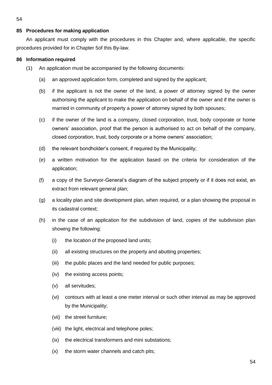# **85 Procedures for making application**

An applicant must comply with the procedures in this Chapter and, where applicable, the specific procedures provided for in Chapter 5of this By-law.

# **86 Information required**

- (1) An application must be accompanied by the following documents:
	- (a) an approved application form, completed and signed by the applicant;
	- (b) if the applicant is not the owner of the land, a power of attorney signed by the owner authorising the applicant to make the application on behalf of the owner and if the owner is married in community of property a power of attorney signed by both spouses;
	- (c) if the owner of the land is a company, closed corporation, trust, body corporate or home owners' association, proof that the person is authorised to act on behalf of the company, closed corporation, trust, body corporate or a home owners' association;
	- (d) the relevant bondholder's consent, if required by the Municipality;
	- (e) a written motivation for the application based on the criteria for consideration of the application;
	- (f) a copy of the Surveyor-General's diagram of the subject property or if it does not exist, an extract from relevant general plan;
	- (g) a locality plan and site development plan, when required, or a plan showing the proposal in its cadastral context;
	- (h) in the case of an application for the subdivision of land, copies of the subdivision plan showing the following:
		- (i) the location of the proposed land units;
		- (ii) all existing structures on the property and abutting properties;
		- (iii) the public places and the land needed for public purposes;
		- (iv) the existing access points;
		- (v) all servitudes;
		- (vi) contours with at least a one meter interval or such other interval as may be approved by the Municipality;
		- (vii) the street furniture;
		- (viii) the light, electrical and telephone poles;
		- (ix) the electrical transformers and mini substations;
		- (x) the storm water channels and catch pits;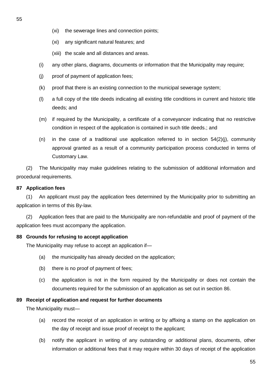- (xi) any significant natural features; and
- (xiii) the scale and all distances and areas.
- (i) any other plans, diagrams, documents or information that the Municipality may require;
- (j) proof of payment of application fees;
- (k) proof that there is an existing connection to the municipal sewerage system;
- (l) a full copy of the title deeds indicating all existing title conditions in current and historic title deeds; and
- (m) if required by the Municipality, a certificate of a conveyancer indicating that no restrictive condition in respect of the application is contained in such title deeds.; and
- (n) in the case of a traditional use application referred to in section  $54(2)(i)$ , community approval granted as a result of a community participation process conducted in terms of Customary Law.

(2) The Municipality may make guidelines relating to the submission of additional information and procedural requirements.

# **87 Application fees**

(1) An applicant must pay the application fees determined by the Municipality prior to submitting an application in terms of this By-law.

(2) Application fees that are paid to the Municipality are non-refundable and proof of payment of the application fees must accompany the application.

# **88 Grounds for refusing to accept application**

The Municipality may refuse to accept an application if—

- (a) the municipality has already decided on the application;
- (b) there is no proof of payment of fees;
- (c) the application is not in the form required by the Municipality or does not contain the documents required for the submission of an application as set out in section 86.

# **89 Receipt of application and request for further documents**

The Municipality must—

- (a) record the receipt of an application in writing or by affixing a stamp on the application on the day of receipt and issue proof of receipt to the applicant;
- (b) notify the applicant in writing of any outstanding or additional plans, documents, other information or additional fees that it may require within 30 days of receipt of the application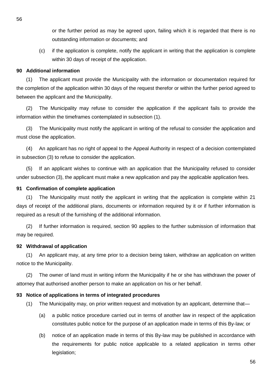or the further period as may be agreed upon, failing which it is regarded that there is no outstanding information or documents; and

(c) if the application is complete, notify the applicant in writing that the application is complete within 30 days of receipt of the application.

# **90 Additional information**

(1) The applicant must provide the Municipality with the information or documentation required for the completion of the application within 30 days of the request therefor or within the further period agreed to between the applicant and the Municipality.

(2) The Municipality may refuse to consider the application if the applicant fails to provide the information within the timeframes contemplated in subsection (1).

(3) The Municipality must notify the applicant in writing of the refusal to consider the application and must close the application.

(4) An applicant has no right of appeal to the Appeal Authority in respect of a decision contemplated in subsection (3) to refuse to consider the application.

(5) If an applicant wishes to continue with an application that the Municipality refused to consider under subsection (3), the applicant must make a new application and pay the applicable application fees.

## **91 Confirmation of complete application**

(1) The Municipality must notify the applicant in writing that the application is complete within 21 days of receipt of the additional plans, documents or information required by it or if further information is required as a result of the furnishing of the additional information.

(2) If further information is required, section 90 applies to the further submission of information that may be required.

# **92 Withdrawal of application**

(1) An applicant may, at any time prior to a decision being taken, withdraw an application on written notice to the Municipality.

(2) The owner of land must in writing inform the Municipality if he or she has withdrawn the power of attorney that authorised another person to make an application on his or her behalf.

# **93 Notice of applications in terms of integrated procedures**

- (1) The Municipality may, on prior written request and motivation by an applicant, determine that—
	- (a) a public notice procedure carried out in terms of another law in respect of the application constitutes public notice for the purpose of an application made in terms of this By-law; or
	- (b) notice of an application made in terms of this By-law may be published in accordance with the requirements for public notice applicable to a related application in terms other legislation;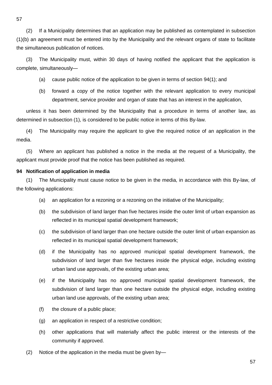(2) If a Municipality determines that an application may be published as contemplated in subsection (1)(b) an agreement must be entered into by the Municipality and the relevant organs of state to facilitate the simultaneous publication of notices.

(3) The Municipality must, within 30 days of having notified the applicant that the application is complete, simultaneously—

- (a) cause public notice of the application to be given in terms of section 94(1); and
- (b) forward a copy of the notice together with the relevant application to every municipal department, service provider and organ of state that has an interest in the application,

unless it has been determined by the Municipality that a procedure in terms of another law, as determined in subsection (1), is considered to be public notice in terms of this By-law.

(4) The Municipality may require the applicant to give the required notice of an application in the media.

(5) Where an applicant has published a notice in the media at the request of a Municipality, the applicant must provide proof that the notice has been published as required.

## **94 Notification of application in media**

(1) The Municipality must cause notice to be given in the media, in accordance with this By-law, of the following applications:

- (a) an application for a rezoning or a rezoning on the initiative of the Municipality;
- (b) the subdivision of land larger than five hectares inside the outer limit of urban expansion as reflected in its municipal spatial development framework;
- (c) the subdivision of land larger than one hectare outside the outer limit of urban expansion as reflected in its municipal spatial development framework;
- (d) if the Municipality has no approved municipal spatial development framework, the subdivision of land larger than five hectares inside the physical edge, including existing urban land use approvals, of the existing urban area;
- (e) if the Municipality has no approved municipal spatial development framework, the subdivision of land larger than one hectare outside the physical edge, including existing urban land use approvals, of the existing urban area;
- (f) the closure of a public place;
- (g) an application in respect of a restrictive condition;
- (h) other applications that will materially affect the public interest or the interests of the community if approved.
- (2) Notice of the application in the media must be given by—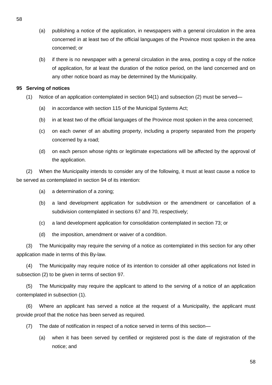- (a) publishing a notice of the application, in newspapers with a general circulation in the area concerned in at least two of the official languages of the Province most spoken in the area concerned; or
- (b) if there is no newspaper with a general circulation in the area, posting a copy of the notice of application, for at least the duration of the notice period, on the land concerned and on any other notice board as may be determined by the Municipality.

## **95 Serving of notices**

- (1) Notice of an application contemplated in section 94(1) and subsection (2) must be served—
	- (a) in accordance with section 115 of the Municipal Systems Act;
	- (b) in at least two of the official languages of the Province most spoken in the area concerned;
	- (c) on each owner of an abutting property, including a property separated from the property concerned by a road;
	- (d) on each person whose rights or legitimate expectations will be affected by the approval of the application.

(2) When the Municipality intends to consider any of the following, it must at least cause a notice to be served as contemplated in section 94 of its intention:

- (a) a determination of a zoning;
- (b) a land development application for subdivision or the amendment or cancellation of a subdivision contemplated in sections 67 and 70, respectively;
- (c) a land development application for consolidation contemplated in section 73; or
- (d) the imposition, amendment or waiver of a condition.

(3) The Municipality may require the serving of a notice as contemplated in this section for any other application made in terms of this By-law.

(4) The Municipality may require notice of its intention to consider all other applications not listed in subsection (2) to be given in terms of section 97.

(5) The Municipality may require the applicant to attend to the serving of a notice of an application contemplated in subsection (1).

(6) Where an applicant has served a notice at the request of a Municipality, the applicant must provide proof that the notice has been served as required.

- (7) The date of notification in respect of a notice served in terms of this section—
	- (a) when it has been served by certified or registered post is the date of registration of the notice; and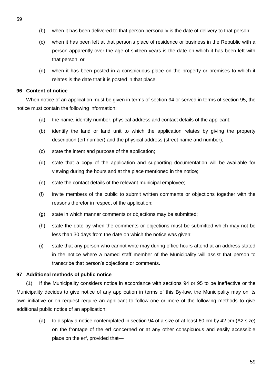- (b) when it has been delivered to that person personally is the date of delivery to that person;
- (c) when it has been left at that person's place of residence or business in the Republic with a person apparently over the age of sixteen years is the date on which it has been left with that person; or
- (d) when it has been posted in a conspicuous place on the property or premises to which it relates is the date that it is posted in that place.

## **96 Content of notice**

When notice of an application must be given in terms of section 94 or served in terms of section 95, the notice must contain the following information:

- (a) the name, identity number, physical address and contact details of the applicant;
- (b) identify the land or land unit to which the application relates by giving the property description (erf number) and the physical address (street name and number);
- (c) state the intent and purpose of the application;
- (d) state that a copy of the application and supporting documentation will be available for viewing during the hours and at the place mentioned in the notice;
- (e) state the contact details of the relevant municipal employee;
- (f) invite members of the public to submit written comments or objections together with the reasons therefor in respect of the application;
- (g) state in which manner comments or objections may be submitted;
- (h) state the date by when the comments or objections must be submitted which may not be less than 30 days from the date on which the notice was given;
- (i) state that any person who cannot write may during office hours attend at an address stated in the notice where a named staff member of the Municipality will assist that person to transcribe that person's objections or comments.

# **97 Additional methods of public notice**

(1) If the Municipality considers notice in accordance with sections 94 or 95 to be ineffective or the Municipality decides to give notice of any application in terms of this By-law, the Municipality may on its own initiative or on request require an applicant to follow one or more of the following methods to give additional public notice of an application:

(a) to display a notice contemplated in section 94 of a size of at least 60 cm by 42 cm (A2 size) on the frontage of the erf concerned or at any other conspicuous and easily accessible place on the erf, provided that—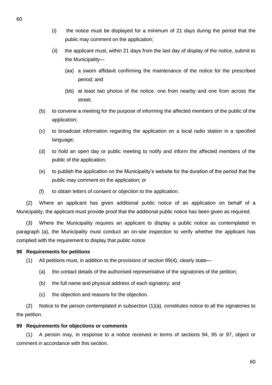- (i) the notice must be displayed for a minimum of 21 days during the period that the public may comment on the application;
- (ii) the applicant must, within 21 days from the last day of display of the notice, submit to the Municipality—
	- (aa) a sworn affidavit confirming the maintenance of the notice for the prescribed period; and
	- (bb) at least two photos of the notice, one from nearby and one from across the street.
- (b) to convene a meeting for the purpose of informing the affected members of the public of the application;
- (c) to broadcast information regarding the application on a local radio station in a specified language;
- (d) to hold an open day or public meeting to notify and inform the affected members of the public of the application;
- (e) to publish the application on the Municipality's website for the duration of the period that the public may comment on the application; or
- (f) to obtain letters of consent or objection to the application.

(2) Where an applicant has given additional public notice of an application on behalf of a Municipality, the applicant must provide proof that the additional public notice has been given as required.

(3) Where the Municipality requires an applicant to display a public notice as contemplated in paragraph (a), the Municipality must conduct an on-site inspection to verify whether the applicant has complied with the requirement to display that public notice.

# **98 Requirements for petitions**

- (1) All petitions must, in addition to the provisions of section 99(4), clearly state—
	- (a) the contact details of the authorised representative of the signatories of the petition;
	- (b) the full name and physical address of each signatory; and
	- (c) the objection and reasons for the objection.

(2) Notice to the person contemplated in subsection (1)(a), constitutes notice to all the signatories to the petition.

# **99 Requirements for objections or comments**

(1) A person may, in response to a notice received in terms of sections 94, 95 or 97, object or comment in accordance with this section.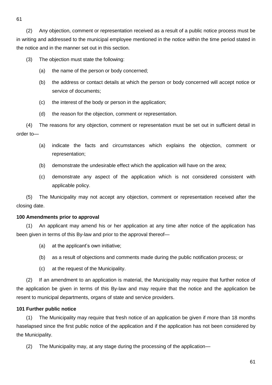(2) Any objection, comment or representation received as a result of a public notice process must be in writing and addressed to the municipal employee mentioned in the notice within the time period stated in the notice and in the manner set out in this section.

(3) The objection must state the following:

- (a) the name of the person or body concerned;
- (b) the address or contact details at which the person or body concerned will accept notice or service of documents;
- (c) the interest of the body or person in the application;
- (d) the reason for the objection, comment or representation.

(4) The reasons for any objection, comment or representation must be set out in sufficient detail in order to—

- (a) indicate the facts and circumstances which explains the objection, comment or representation;
- (b) demonstrate the undesirable effect which the application will have on the area;
- (c) demonstrate any aspect of the application which is not considered consistent with applicable policy.

(5) The Municipality may not accept any objection, comment or representation received after the closing date.

# **100 Amendments prior to approval**

(1) An applicant may amend his or her application at any time after notice of the application has been given in terms of this By-law and prior to the approval thereof—

- (a) at the applicant's own initiative;
- (b) as a result of objections and comments made during the public notification process; or
- (c) at the request of the Municipality.

(2) If an amendment to an application is material, the Municipality may require that further notice of the application be given in terms of this By-law and may require that the notice and the application be resent to municipal departments, organs of state and service providers.

# **101 Further public notice**

(1) The Municipality may require that fresh notice of an application be given if more than 18 months haselapsed since the first public notice of the application and if the application has not been considered by the Municipality.

(2) The Municipality may, at any stage during the processing of the application—

61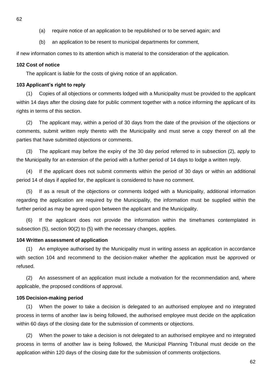- (a) require notice of an application to be republished or to be served again; and
- (b) an application to be resent to municipal departments for comment,

if new information comes to its attention which is material to the consideration of the application.

## **102 Cost of notice**

The applicant is liable for the costs of giving notice of an application.

## **103 Applicant's right to reply**

(1) Copies of all objections or comments lodged with a Municipality must be provided to the applicant within 14 days after the closing date for public comment together with a notice informing the applicant of its rights in terms of this section.

(2) The applicant may, within a period of 30 days from the date of the provision of the objections or comments, submit written reply thereto with the Municipality and must serve a copy thereof on all the parties that have submitted objections or comments.

(3) The applicant may before the expiry of the 30 day period referred to in subsection (2), apply to the Municipality for an extension of the period with a further period of 14 days to lodge a written reply.

(4) If the applicant does not submit comments within the period of 30 days or within an additional period 14 of days if applied for, the applicant is considered to have no comment.

(5) If as a result of the objections or comments lodged with a Municipality, additional information regarding the application are required by the Municipality, the information must be supplied within the further period as may be agreed upon between the applicant and the Municipality.

(6) If the applicant does not provide the information within the timeframes contemplated in subsection (5), section 90(2) to (5) with the necessary changes, applies.

## **104 Written assessment of application**

(1) An employee authorised by the Municipality must in writing assess an application in accordance with section 104 and recommend to the decision-maker whether the application must be approved or refused.

(2) An assessment of an application must include a motivation for the recommendation and, where applicable, the proposed conditions of approval.

## **105 Decision-making period**

(1) When the power to take a decision is delegated to an authorised employee and no integrated process in terms of another law is being followed, the authorised employee must decide on the application within 60 days of the closing date for the submission of comments or objections.

(2) When the power to take a decision is not delegated to an authorised employee and no integrated process in terms of another law is being followed, the Municipal Planning Tribunal must decide on the application within 120 days of the closing date for the submission of comments orobjections.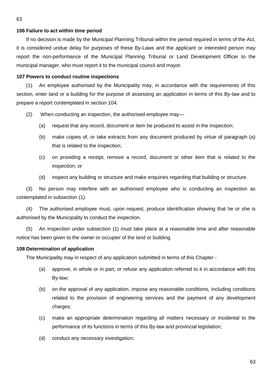## **106 Failure to act within time period**

If no decision is made by the Municipal Planning Tribunal within the period required in terms of the Act, it is considered undue delay for purposes of these By-Laws and the applicant or interested person may report the non-performance of the Municipal Planning Tribunal or Land Development Officer to the municipal manager, who must report it to the municipal council and mayor.

## **107 Powers to conduct routine inspections**

(1) An employee authorised by the Municipality may, in accordance with the requirements of this section, enter land or a building for the purpose of assessing an application in terms of this By-law and to prepare a report contemplated in section 104.

- (2) When conducting an inspection, the authorised employee may—
	- (a) request that any record, document or item be produced to assist in the inspection;
	- (b) make copies of, or take extracts from any document produced by virtue of paragraph (a) that is related to the inspection;
	- (c) on providing a receipt, remove a record, document or other item that is related to the inspection; or
	- (d) inspect any building or structure and make enquiries regarding that building or structure.

(3) No person may interfere with an authorised employee who is conducting an inspection as contemplated in subsection (1).

(4) The authorised employee must, upon request, produce identification showing that he or she is authorised by the Municipality to conduct the inspection.

(5) An inspection under subsection (1) must take place at a reasonable time and after reasonable notice has been given to the owner or occupier of the land or building.

## **108 Determination of application**

The Municipality may in respect of any application submitted in terms of this Chapter -

- (a) approve, in whole or in part, or refuse any application referred to it in accordance with this By-law;
- (b) on the approval of any application, impose any reasonable conditions, including conditions related to the provision of engineering services and the payment of any development charges;
- (c) make an appropriate determination regarding all matters necessary or incidental to the performance of its functions in terms of this By-law and provincial legislation;
- (d) conduct any necessary investigation;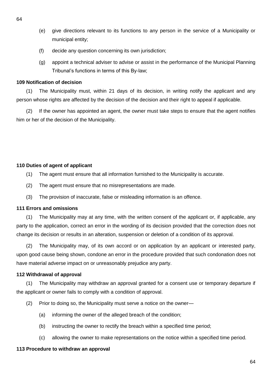- (e) give directions relevant to its functions to any person in the service of a Municipality or municipal entity;
- (f) decide any question concerning its own jurisdiction;
- (g) appoint a technical adviser to advise or assist in the performance of the Municipal Planning Tribunal's functions in terms of this By-law;

# **109 Notification of decision**

(1) The Municipality must, within 21 days of its decision, in writing notify the applicant and any person whose rights are affected by the decision of the decision and their right to appeal if applicable.

(2) If the owner has appointed an agent, the owner must take steps to ensure that the agent notifies him or her of the decision of the Municipality.

# **110 Duties of agent of applicant**

(1) The agent must ensure that all information furnished to the Municipality is accurate.

- (2) The agent must ensure that no misrepresentations are made.
- (3) The provision of inaccurate, false or misleading information is an offence.

# **111 Errors and omissions**

(1) The Municipality may at any time, with the written consent of the applicant or, if applicable, any party to the application, correct an error in the wording of its decision provided that the correction does not change its decision or results in an alteration, suspension or deletion of a condition of its approval.

(2) The Municipality may, of its own accord or on application by an applicant or interested party, upon good cause being shown, condone an error in the procedure provided that such condonation does not have material adverse impact on or unreasonably prejudice any party.

# **112 Withdrawal of approval**

(1) The Municipality may withdraw an approval granted for a consent use or temporary departure if the applicant or owner fails to comply with a condition of approval.

- (2) Prior to doing so, the Municipality must serve a notice on the owner—
	- (a) informing the owner of the alleged breach of the condition;
	- (b) instructing the owner to rectify the breach within a specified time period;
	- (c) allowing the owner to make representations on the notice within a specified time period.

# **113 Procedure to withdraw an approval**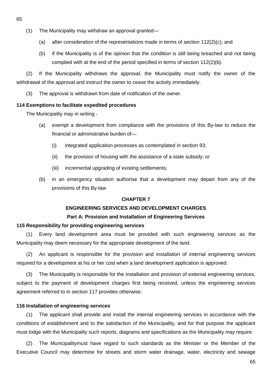- (1) The Municipality may withdraw an approval granted—
	- (a) after consideration of the representations made in terms of section 112(2)(c); and
	- (b) if the Municipality is of the opinion that the condition is still being breached and not being complied with at the end of the period specified in terms of section 112(2)(b).

(2) If the Municipality withdraws the approval, the Municipality must notify the owner of the withdrawal of the approval and instruct the owner to cease the activity immediately.

(3) The approval is withdrawn from date of notification of the owner.

## **114 Exemptions to facilitate expedited procedures**

The Municipality may in writing -

- (a) exempt a development from compliance with the provisions of this By-law to reduce the financial or administrative burden of—
	- (i) integrated application processes as contemplated in section 93;
	- (ii) the provision of housing with the assistance of a state subsidy; or
	- (iii) incremental upgrading of existing settlements;
- (b) in an emergency situation authorise that a development may depart from any of the provisions of this By-law

# **CHAPTER 7**

# **ENGINEERING SERVICES AND DEVELOPMENT CHARGES**

## **Part A: Provision and Installation of Engineering Services**

## **115 Responsibility for providing engineering services**

(1) Every land development area must be provided with such engineering services as the Municipality may deem necessary for the appropriate development of the land.

(2) An applicant is responsible for the provision and installation of internal engineering services required for a development at his or her cost when a land development application is approved.

(3) The Municipality is responsible for the installation and provision of external engineering services, subject to the payment of development charges first being received, unless the engineering services agreement referred to in section 117 provides otherwise.

## **116 Installation of engineering services**

(1) The applicant shall provide and install the internal engineering services in accordance with the conditions of establishment and to the satisfaction of the Municipality, and for that purpose the applicant must lodge with the Municipality such reports, diagrams and specifications as the Municipality may require.

(2) The Municipalitymust have regard to such standards as the Minister or the Member of the Executive Council may determine for streets and storm water drainage, water, electricity and sewage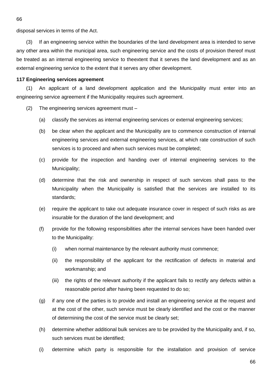disposal services in terms of the Act.

(3) If an engineering service within the boundaries of the land development area is intended to serve any other area within the municipal area, such engineering service and the costs of provision thereof must be treated as an internal engineering service to theextent that it serves the land development and as an external engineering service to the extent that it serves any other development.

#### **117 Engineering services agreement**

(1) An applicant of a land development application and the Municipality must enter into an engineering service agreement if the Municipality requires such agreement.

- (2) The engineering services agreement must
	- (a) classify the services as internal engineering services or external engineering services;
	- (b) be clear when the applicant and the Municipality are to commence construction of internal engineering services and external engineering services, at which rate construction of such services is to proceed and when such services must be completed;
	- (c) provide for the inspection and handing over of internal engineering services to the Municipality;
	- (d) determine that the risk and ownership in respect of such services shall pass to the Municipality when the Municipality is satisfied that the services are installed to its standards;
	- (e) require the applicant to take out adequate insurance cover in respect of such risks as are insurable for the duration of the land development; and
	- (f) provide for the following responsibilities after the internal services have been handed over to the Municipality:
		- (i) when normal maintenance by the relevant authority must commence;
		- (ii) the responsibility of the applicant for the rectification of defects in material and workmanship; and
		- (iii) the rights of the relevant authority if the applicant fails to rectify any defects within a reasonable period after having been requested to do so;
	- (g) if any one of the parties is to provide and install an engineering service at the request and at the cost of the other, such service must be clearly identified and the cost or the manner of determining the cost of the service must be clearly set;
	- (h) determine whether additional bulk services are to be provided by the Municipality and, if so, such services must be identified;
	- (i) determine which party is responsible for the installation and provision of service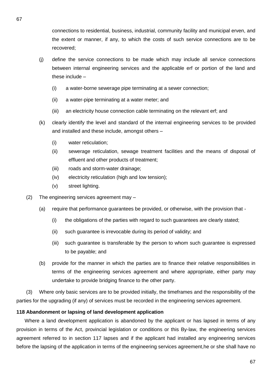connections to residential, business, industrial, community facility and municipal erven, and the extent or manner, if any, to which the costs of such service connections are to be recovered;

- (j) define the service connections to be made which may include all service connections between internal engineering services and the applicable erf or portion of the land and these include –
	- (i) a water-borne sewerage pipe terminating at a sewer connection;
	- (ii) a water-pipe terminating at a water meter; and
	- (iii) an electricity house connection cable terminating on the relevant erf; and
- (k) clearly identify the level and standard of the internal engineering services to be provided and installed and these include, amongst others –
	- (i) water reticulation;
	- (ii) sewerage reticulation, sewage treatment facilities and the means of disposal of effluent and other products of treatment;
	- (iii) roads and storm-water drainage;
	- (iv) electricity reticulation (high and low tension);
	- (v) street lighting.
- (2) The engineering services agreement may
	- (a) require that performance guarantees be provided, or otherwise, with the provision that
		- (i) the obligations of the parties with regard to such guarantees are clearly stated;
		- (ii) such guarantee is irrevocable during its period of validity; and
		- (iii) such guarantee is transferable by the person to whom such guarantee is expressed to be payable; and
	- (b) provide for the manner in which the parties are to finance their relative responsibilities in terms of the engineering services agreement and where appropriate, either party may undertake to provide bridging finance to the other party.

(3) Where only basic services are to be provided initially, the timeframes and the responsibility of the parties for the upgrading (if any) of services must be recorded in the engineering services agreement.

## **118 Abandonment or lapsing of land development application**

Where a land development application is abandoned by the applicant or has lapsed in terms of any provision in terms of the Act, provincial legislation or conditions or this By-law, the engineering services agreement referred to in section 117 lapses and if the applicant had installed any engineering services before the lapsing of the application in terms of the engineering services agreement,he or she shall have no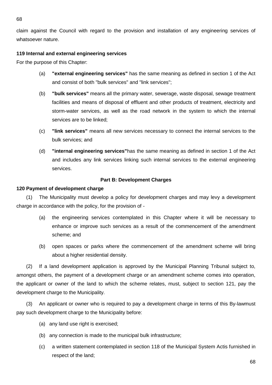claim against the Council with regard to the provision and installation of any engineering services of whatsoever nature.

# **119 Internal and external engineering services**

For the purpose of this Chapter:

- (a) **"external engineering services"** has the same meaning as defined in section 1 of the Act and consist of both "bulk services" and "link services";
- (b) **"bulk services"** means all the primary water, sewerage, waste disposal, sewage treatment facilities and means of disposal of effluent and other products of treatment, electricity and storm-water services, as well as the road network in the system to which the internal services are to be linked;
- (c) **"link services"** means all new services necessary to connect the internal services to the bulk services; and
- (d) **"internal engineering services"**has the same meaning as defined in section 1 of the Act and includes any link services linking such internal services to the external engineering services.

# **Part B: Development Charges**

# **120 Payment of development charge**

(1) The Municipality must develop a policy for development charges and may levy a development charge in accordance with the policy, for the provision of -

- (a) the engineering services contemplated in this Chapter where it will be necessary to enhance or improve such services as a result of the commencement of the amendment scheme; and
- (b) open spaces or parks where the commencement of the amendment scheme will bring about a higher residential density.

(2) If a land development application is approved by the Municipal Planning Tribunal subject to, amongst others, the payment of a development charge or an amendment scheme comes into operation, the applicant or owner of the land to which the scheme relates, must, subject to section 121, pay the development charge to the Municipality.

(3) An applicant or owner who is required to pay a development charge in terms of this By-lawmust pay such development charge to the Municipality before:

- (a) any land use right is exercised;
- (b) any connection is made to the municipal bulk infrastructure;
- (c) a written statement contemplated in section 118 of the Municipal System Actis furnished in respect of the land;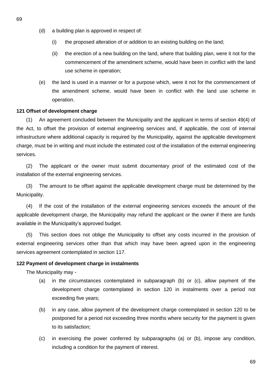- (d) a building plan is approved in respect of:
	- (i) the proposed alteration of or addition to an existing building on the land;
	- (ii) the erection of a new building on the land, where that building plan, were it not for the commencement of the amendment scheme, would have been in conflict with the land use scheme in operation;
- (e) the land is used in a manner or for a purpose which, were it not for the commencement of the amendment scheme, would have been in conflict with the land use scheme in operation.

# **121 Offset of development charge**

(1) An agreement concluded between the Municipality and the applicant in terms of section 49(4) of the Act, to offset the provision of external engineering services and, if applicable, the cost of internal infrastructure where additional capacity is required by the Municipality, against the applicable development charge, must be in writing and must include the estimated cost of the installation of the external engineering services.

(2) The applicant or the owner must submit documentary proof of the estimated cost of the installation of the external engineering services.

(3) The amount to be offset against the applicable development charge must be determined by the Municipality.

(4) If the cost of the installation of the external engineering services exceeds the amount of the applicable development charge, the Municipality may refund the applicant or the owner if there are funds available in the Municipality's approved budget.

(5) This section does not oblige the Municipality to offset any costs incurred in the provision of external engineering services other than that which may have been agreed upon in the engineering services agreement contemplated in section 117.

# **122 Payment of development charge in instalments**

The Municipality may -

- (a) in the circumstances contemplated in subparagraph (b) or (c), allow payment of the development charge contemplated in section 120 in instalments over a period not exceeding five years;
- (b) in any case, allow payment of the development charge contemplated in section 120 to be postponed for a period not exceeding three months where security for the payment is given to its satisfaction;
- (c) in exercising the power conferred by subparagraphs (a) or (b), impose any condition, including a condition for the payment of interest.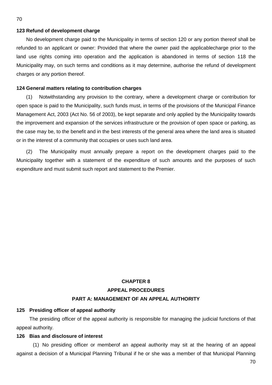#### **123 Refund of development charge**

No development charge paid to the Municipality in terms of section 120 or any portion thereof shall be refunded to an applicant or owner: Provided that where the owner paid the applicablecharge prior to the land use rights coming into operation and the application is abandoned in terms of section 118 the Municipality may, on such terms and conditions as it may determine, authorise the refund of development charges or any portion thereof.

## **124 General matters relating to contribution charges**

(1) Notwithstanding any provision to the contrary, where a development charge or contribution for open space is paid to the Municipality, such funds must, in terms of the provisions of the Municipal Finance Management Act, 2003 (Act No. 56 of 2003), be kept separate and only applied by the Municipality towards the improvement and expansion of the services infrastructure or the provision of open space or parking, as the case may be, to the benefit and in the best interests of the general area where the land area is situated or in the interest of a community that occupies or uses such land area.

(2) The Municipality must annually prepare a report on the development charges paid to the Municipality together with a statement of the expenditure of such amounts and the purposes of such expenditure and must submit such report and statement to the Premier.

# **CHAPTER 8 APPEAL PROCEDURES PART A: MANAGEMENT OF AN APPEAL AUTHORITY**

## **125 Presiding officer of appeal authority**

The presiding officer of the appeal authority is responsible for managing the judicial functions of that appeal authority.

#### **126 Bias and disclosure of interest**

(1) No presiding officer or memberof an appeal authority may sit at the hearing of an appeal against a decision of a Municipal Planning Tribunal if he or she was a member of that Municipal Planning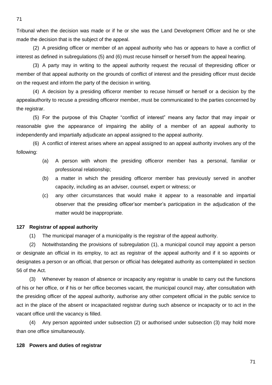Tribunal when the decision was made or if he or she was the Land Development Officer and he or she made the decision that is the subject of the appeal.

(2) A presiding officer or member of an appeal authority who has or appears to have a conflict of interest as defined in subregulations (5) and (6) must recuse himself or herself from the appeal hearing.

(3) A party may in writing to the appeal authority request the recusal of thepresiding officer or member of that appeal authority on the grounds of conflict of interest and the presiding officer must decide on the request and inform the party of the decision in writing.

(4) A decision by a presiding officeror member to recuse himself or herself or a decision by the appealauthority to recuse a presiding officeror member, must be communicated to the parties concerned by the registrar.

(5) For the purpose of this Chapter "conflict of interest" means any factor that may impair or reasonable give the appearance of impairing the ability of a member of an appeal authority to independently and impartially adjudicate an appeal assigned to the appeal authority.

(6) A conflict of interest arises where an appeal assigned to an appeal authority involves any of the following:

- (a) A person with whom the presiding officeror member has a personal, familiar or professional relationship;
- (b) a matter in which the presiding officeror member has previously served in another capacity, including as an adviser, counsel, expert or witness; or
- (c) any other circumstances that would make it appear to a reasonable and impartial observer that the presiding officer'sor member's participation in the adjudication of the matter would be inappropriate.

## **127 Registrar of appeal authority**

(1) The municipal manager of a municipality is the registrar of the appeal authority.

(2) Notwithstanding the provisions of subregulation (1), a municipal council may appoint a person or designate an official in its employ, to act as registrar of the appeal authority and if it so appoints or designates a person or an official, that person or official has delegated authority as contemplated in section 56 of the Act.

(3) Whenever by reason of absence or incapacity any registrar is unable to carry out the functions of his or her office, or if his or her office becomes vacant, the municipal council may, after consultation with the presiding officer of the appeal authority, authorise any other competent official in the public service to act in the place of the absent or incapacitated registrar during such absence or incapacity or to act in the vacant office until the vacancy is filled.

(4) Any person appointed under subsection (2) or authorised under subsection (3) may hold more than one office simultaneously.

#### **128 Powers and duties of registrar**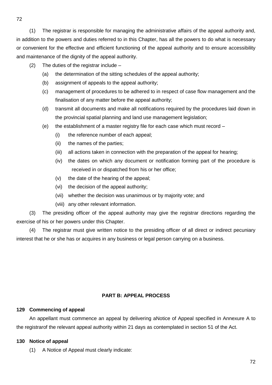(1) The registrar is responsible for managing the administrative affairs of the appeal authority and, in addition to the powers and duties referred to in this Chapter, has all the powers to do what is necessary or convenient for the effective and efficient functioning of the appeal authority and to ensure accessibility and maintenance of the dignity of the appeal authority.

- (2) The duties of the registrar include
	- (a) the determination of the sitting schedules of the appeal authority;
	- (b) assignment of appeals to the appeal authority;
	- (c) management of procedures to be adhered to in respect of case flow management and the finalisation of any matter before the appeal authority;
	- (d) transmit all documents and make all notifications required by the procedures laid down in the provincial spatial planning and land use management legislation;
	- (e) the establishment of a master registry file for each case which must record
		- (i) the reference number of each appeal;
		- (ii) the names of the parties;
		- (iii) all actions taken in connection with the preparation of the appeal for hearing;
		- (iv) the dates on which any document or notification forming part of the procedure is received in or dispatched from his or her office;
		- (v) the date of the hearing of the appeal;
		- (vi) the decision of the appeal authority;
		- (vii) whether the decision was unanimous or by majority vote; and
		- (viii) any other relevant information.

(3) The presiding officer of the appeal authority may give the registrar directions regarding the exercise of his or her powers under this Chapter.

(4) The registrar must give written notice to the presiding officer of all direct or indirect pecuniary interest that he or she has or acquires in any business or legal person carrying on a business.

## **PART B: APPEAL PROCESS**

## **129 Commencing of appeal**

An appellant must commence an appeal by delivering aNotice of Appeal specified in Annexure A to the registrarof the relevant appeal authority within 21 days as contemplated in section 51 of the Act.

## **130 Notice of appeal**

(1) A Notice of Appeal must clearly indicate: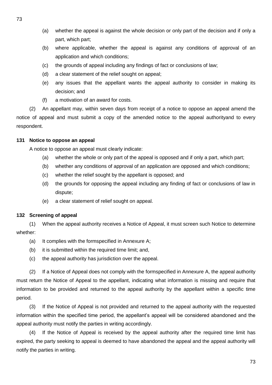- (a) whether the appeal is against the whole decision or only part of the decision and if only a part, which part;
- (b) where applicable, whether the appeal is against any conditions of approval of an application and which conditions;
- (c) the grounds of appeal including any findings of fact or conclusions of law;
- (d) a clear statement of the relief sought on appeal;
- (e) any issues that the appellant wants the appeal authority to consider in making its decision; and
- (f) a motivation of an award for costs.

(2) An appellant may, within seven days from receipt of a notice to oppose an appeal amend the notice of appeal and must submit a copy of the amended notice to the appeal authorityand to every respondent.

## **131 Notice to oppose an appeal**

A notice to oppose an appeal must clearly indicate:

- (a) whether the whole or only part of the appeal is opposed and if only a part, which part;
- (b) whether any conditions of approval of an application are opposed and which conditions;
- (c) whether the relief sought by the appellant is opposed; and
- (d) the grounds for opposing the appeal including any finding of fact or conclusions of law in dispute;
- (e) a clear statement of relief sought on appeal.

## **132 Screening of appeal**

(1) When the appeal authority receives a Notice of Appeal, it must screen such Notice to determine whether:

- (a) It complies with the formspecified in Annexure A;
- (b) it is submitted within the required time limit; and,
- (c) the appeal authority has jurisdiction over the appeal.

(2) If a Notice of Appeal does not comply with the formspecified in Annexure A, the appeal authority must return the Notice of Appeal to the appellant, indicating what information is missing and require that information to be provided and returned to the appeal authority by the appellant within a specific time period.

(3) If the Notice of Appeal is not provided and returned to the appeal authority with the requested information within the specified time period, the appellant's appeal will be considered abandoned and the appeal authority must notify the parties in writing accordingly.

(4) If the Notice of Appeal is received by the appeal authority after the required time limit has expired, the party seeking to appeal is deemed to have abandoned the appeal and the appeal authority will notify the parties in writing.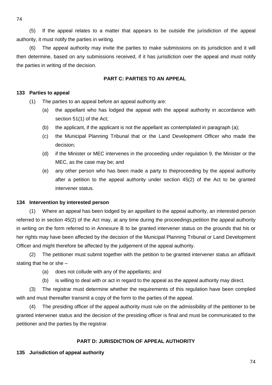74

(5) If the appeal relates to a matter that appears to be outside the jurisdiction of the appeal authority, it must notify the parties in writing.

(6) The appeal authority may invite the parties to make submissions on its jurisdiction and it will then determine, based on any submissions received, if it has jurisdiction over the appeal and must notify the parties in writing of the decision.

## **PART C: PARTIES TO AN APPEAL**

#### **133 Parties to appeal**

- (1) The parties to an appeal before an appeal authority are:
	- (a) the appellant who has lodged the appeal with the appeal authority in accordance with section 51(1) of the Act;
	- (b) the applicant, if the applicant is not the appellant as contemplated in paragraph (a);
	- (c) the Municipal Planning Tribunal that or the Land Development Officer who made the decision;
	- (d) if the Minister or MEC intervenes in the proceeding under regulation 9, the Minister or the MEC, as the case may be; and
	- (e) any other person who has been made a party to theproceeding by the appeal authority after a petition to the appeal authority under section 45(2) of the Act to be granted intervener status.

#### **134 Intervention by interested person**

(1) Where an appeal has been lodged by an appellant to the appeal authority, an interested person referred to in section 45(2) of the Act may, at any time during the proceedings,petition the appeal authority in writing on the form referred to in Annexure B to be granted intervener status on the grounds that his or her rights may have been affected by the decision of the Municipal Planning Tribunal or Land Development Officer and might therefore be affected by the judgement of the appeal authority.

(2) The petitioner must submit together with the petition to be granted intervener status an affidavit stating that he or she –

- (a) does not collude with any of the appellants; and
- (b) is willing to deal with or act in regard to the appeal as the appeal authority may direct.

(3) The registrar must determine whether the requirements of this regulation have been complied with and must thereafter transmit a copy of the form to the parties of the appeal.

(4) The presiding officer of the appeal authority must rule on the admissibility of the petitioner to be granted intervener status and the decision of the presiding officer is final and must be communicated to the petitioner and the parties by the registrar.

## **PART D: JURISDICTION OF APPEAL AUTHORITY**

#### **135 Jurisdiction of appeal authority**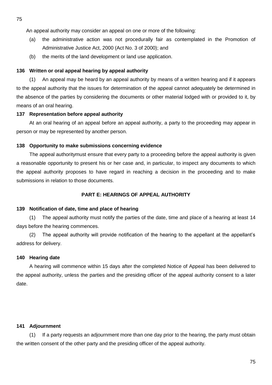An appeal authority may consider an appeal on one or more of the following:

- (a) the administrative action was not procedurally fair as contemplated in the Promotion of Administrative Justice Act, 2000 (Act No. 3 of 2000); and
- (b) the merits of the land development or land use application.

#### **136 Written or oral appeal hearing by appeal authority**

(1) An appeal may be heard by an appeal authority by means of a written hearing and if it appears to the appeal authority that the issues for determination of the appeal cannot adequately be determined in the absence of the parties by considering the documents or other material lodged with or provided to it, by means of an oral hearing.

#### **137 Representation before appeal authority**

At an oral hearing of an appeal before an appeal authority, a party to the proceeding may appear in person or may be represented by another person.

#### **138 Opportunity to make submissions concerning evidence**

The appeal authoritymust ensure that every party to a proceeding before the appeal authority is given a reasonable opportunity to present his or her case and, in particular, to inspect any documents to which the appeal authority proposes to have regard in reaching a decision in the proceeding and to make submissions in relation to those documents.

## **PART E: HEARINGS OF APPEAL AUTHORITY**

#### **139 Notification of date, time and place of hearing**

(1) The appeal authority must notify the parties of the date, time and place of a hearing at least 14 days before the hearing commences.

(2) The appeal authority will provide notification of the hearing to the appellant at the appellant's address for delivery.

#### **140 Hearing date**

A hearing will commence within 15 days after the completed Notice of Appeal has been delivered to the appeal authority, unless the parties and the presiding officer of the appeal authority consent to a later date.

## **141 Adjournment**

(1) If a party requests an adjournment more than one day prior to the hearing, the party must obtain the written consent of the other party and the presiding officer of the appeal authority.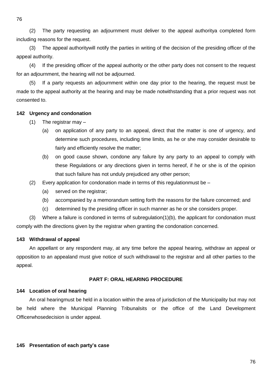76

(2) The party requesting an adjournment must deliver to the appeal authoritya completed form including reasons for the request.

(3) The appeal authoritywill notify the parties in writing of the decision of the presiding officer of the appeal authority.

(4) If the presiding officer of the appeal authority or the other party does not consent to the request for an adjournment, the hearing will not be adjourned.

(5) If a party requests an adjournment within one day prior to the hearing, the request must be made to the appeal authority at the hearing and may be made notwithstanding that a prior request was not consented to.

## **142 Urgency and condonation**

- (1) The registrar may
	- (a) on application of any party to an appeal, direct that the matter is one of urgency, and determine such procedures, including time limits, as he or she may consider desirable to fairly and efficiently resolve the matter;
	- (b) on good cause shown, condone any failure by any party to an appeal to comply with these Regulations or any directions given in terms hereof, if he or she is of the opinion that such failure has not unduly prejudiced any other person;
- (2) Every application for condonation made in terms of this regulation must be  $-$ 
	- (a) served on the registrar;
	- (b) accompanied by a memorandum setting forth the reasons for the failure concerned; and
	- (c) determined by the presiding officer in such manner as he or she considers proper.

(3) Where a failure is condoned in terms of subregulation(1)(b), the applicant for condonation must comply with the directions given by the registrar when granting the condonation concerned.

## **143 Withdrawal of appeal**

An appellant or any respondent may, at any time before the appeal hearing, withdraw an appeal or opposition to an appealand must give notice of such withdrawal to the registrar and all other parties to the appeal.

## **PART F: ORAL HEARING PROCEDURE**

## **144 Location of oral hearing**

An oral hearingmust be held in a location within the area of jurisdiction of the Municipality but may not be held where the Municipal Planning Tribunalsits or the office of the Land Development Officerwhosedecision is under appeal.

#### **145 Presentation of each party's case**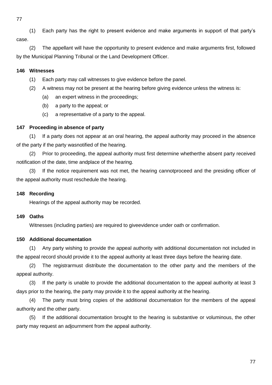77

(1) Each party has the right to present evidence and make arguments in support of that party's case.

(2) The appellant will have the opportunity to present evidence and make arguments first, followed by the Municipal Planning Tribunal or the Land Development Officer.

## **146 Witnesses**

- (1) Each party may call witnesses to give evidence before the panel.
- (2) A witness may not be present at the hearing before giving evidence unless the witness is:
	- (a) an expert witness in the proceedings;
	- (b) a party to the appeal; or
	- (c) a representative of a party to the appeal.

## **147 Proceeding in absence of party**

(1) If a party does not appear at an oral hearing, the appeal authority may proceed in the absence of the party if the party wasnotified of the hearing.

(2) Prior to proceeding, the appeal authority must first determine whetherthe absent party received notification of the date, time andplace of the hearing.

(3) If the notice requirement was not met, the hearing cannotproceed and the presiding officer of the appeal authority must reschedule the hearing.

## **148 Recording**

Hearings of the appeal authority may be recorded.

## **149 Oaths**

Witnesses (including parties) are required to giveevidence under oath or confirmation.

## **150 Additional documentation**

(1) Any party wishing to provide the appeal authority with additional documentation not included in the appeal record should provide it to the appeal authority at least three days before the hearing date.

(2) The registrarmust distribute the documentation to the other party and the members of the appeal authority.

(3) If the party is unable to provide the additional documentation to the appeal authority at least 3 days prior to the hearing, the party may provide it to the appeal authority at the hearing.

(4) The party must bring copies of the additional documentation for the members of the appeal authority and the other party.

(5) If the additional documentation brought to the hearing is substantive or voluminous, the other party may request an adjournment from the appeal authority.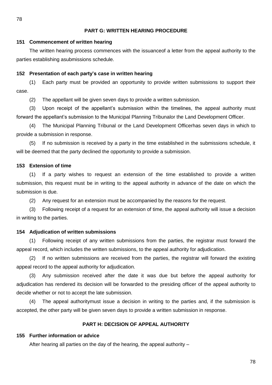#### **PART G: WRITTEN HEARING PROCEDURE**

#### **151 Commencement of written hearing**

The written hearing process commences with the issuanceof a letter from the appeal authority to the parties establishing asubmissions schedule.

## **152 Presentation of each party's case in written hearing**

(1) Each party must be provided an opportunity to provide written submissions to support their case.

(2) The appellant will be given seven days to provide a written submission.

(3) Upon receipt of the appellant's submission within the timelines, the appeal authority must forward the appellant's submission to the Municipal Planning Tribunalor the Land Development Officer.

(4) The Municipal Planning Tribunal or the Land Development Officerhas seven days in which to provide a submission in response.

(5) If no submission is received by a party in the time established in the submissions schedule, it will be deemed that the party declined the opportunity to provide a submission.

#### **153 Extension of time**

(1) If a party wishes to request an extension of the time established to provide a written submission, this request must be in writing to the appeal authority in advance of the date on which the submission is due.

(2) Any request for an extension must be accompanied by the reasons for the request.

(3) Following receipt of a request for an extension of time, the appeal authority will issue a decision in writing to the parties.

#### **154 Adjudication of written submissions**

(1) Following receipt of any written submissions from the parties, the registrar must forward the appeal record, which includes the written submissions, to the appeal authority for adjudication.

(2) If no written submissions are received from the parties, the registrar will forward the existing appeal record to the appeal authority for adjudication.

(3) Any submission received after the date it was due but before the appeal authority for adjudication has rendered its decision will be forwarded to the presiding officer of the appeal authority to decide whether or not to accept the late submission.

(4) The appeal authoritymust issue a decision in writing to the parties and, if the submission is accepted, the other party will be given seven days to provide a written submission in response.

## **PART H: DECISION OF APPEAL AUTHORITY**

#### **155 Further information or advice**

After hearing all parties on the day of the hearing, the appeal authority –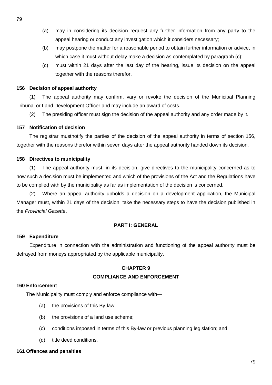- (a) may in considering its decision request any further information from any party to the appeal hearing or conduct any investigation which it considers necessary;
- (b) may postpone the matter for a reasonable period to obtain further information or advice, in which case it must without delay make a decision as contemplated by paragraph (c);
- (c) must within 21 days after the last day of the hearing, issue its decision on the appeal together with the reasons therefor.

#### **156 Decision of appeal authority**

(1) The appeal authority may confirm, vary or revoke the decision of the Municipal Planning Tribunal or Land Development Officer and may include an award of costs.

(2) The presiding officer must sign the decision of the appeal authority and any order made by it.

## **157 Notification of decision**

The registrar mustnotify the parties of the decision of the appeal authority in terms of section 156, together with the reasons therefor within seven days after the appeal authority handed down its decision.

#### **158 Directives to municipality**

(1) The appeal authority must, in its decision, give directives to the municipality concerned as to how such a decision must be implemented and which of the provisions of the Act and the Regulations have to be complied with by the municipality as far as implementation of the decision is concerned.

(2) Where an appeal authority upholds a decision on a development application, the Municipal Manager must, within 21 days of the decision, take the necessary steps to have the decision published in the *Provincial Gazette*.

## **PART I: GENERAL**

#### **159 Expenditure**

Expenditure in connection with the administration and functioning of the appeal authority must be defrayed from moneys appropriated by the applicable municipality.

#### **CHAPTER 9**

#### **COMPLIANCE AND ENFORCEMENT**

#### **160 Enforcement**

The Municipality must comply and enforce compliance with—

- (a) the provisions of this By-law;
- (b) the provisions of a land use scheme;
- (c) conditions imposed in terms of this By-law or previous planning legislation; and
- (d) title deed conditions.

#### **161 Offences and penalties**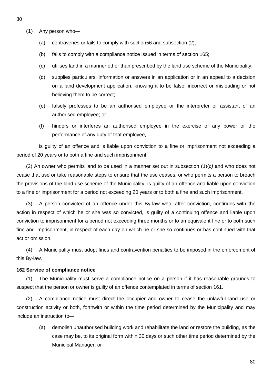- 80
- (1) Any person who—
	- (a) contravenes or fails to comply with section56 and subsection (2);
	- (b) fails to comply with a compliance notice issued in terms of section 165;
	- (c) utilises land in a manner other than prescribed by the land use scheme of the Municipality;
	- (d) supplies particulars, information or answers in an application or in an appeal to a decision on a land development application, knowing it to be false, incorrect or misleading or not believing them to be correct;
	- (e) falsely professes to be an authorised employee or the interpreter or assistant of an authorised employee; or
	- (f) hinders or interferes an authorised employee in the exercise of any power or the performance of any duty of that employee,

is guilty of an offence and is liable upon conviction to a fine or imprisonment not exceeding a period of 20 years or to both a fine and such imprisonment.

(2) An owner who permits land to be used in a manner set out in subsection (1)(*c)* and who does not cease that use or take reasonable steps to ensure that the use ceases, or who permits a person to breach the provisions of the land use scheme of the Municipality, is guilty of an offence and liable upon conviction to a fine or imprisonment for a period not exceeding 20 years or to both a fine and such imprisonment.

(3) A person convicted of an offence under this By-law who, after conviction, continues with the action in respect of which he or she was so convicted, is guilty of a continuing offence and liable upon conviction to imprisonment for a period not exceeding three months or to an equivalent fine or to both such fine and imprisonment, in respect of each day on which he or she so continues or has continued with that act or omission.

(4) A Municipality must adopt fines and contravention penalties to be imposed in the enforcement of this By-law.

#### **162 Service of compliance notice**

(1) The Municipality must serve a compliance notice on a person if it has reasonable grounds to suspect that the person or owner is guilty of an offence contemplated in terms of section 161.

(2) A compliance notice must direct the occupier and owner to cease the unlawful land use or construction activity or both, forthwith or within the time period determined by the Municipality and may include an instruction to—

(a) demolish unauthorised building work and rehabilitate the land or restore the building, as the case may be, to its original form within 30 days or such other time period determined by the Municipal Manager; or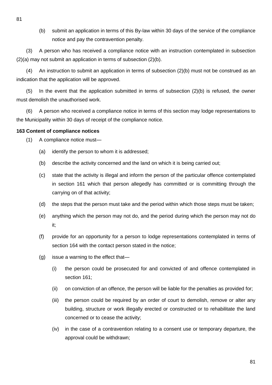(b) submit an application in terms of this By-law within 30 days of the service of the compliance notice and pay the contravention penalty.

(3) A person who has received a compliance notice with an instruction contemplated in subsection (2)(a) may not submit an application in terms of subsection (2)(b).

(4) An instruction to submit an application in terms of subsection (2)(b) must not be construed as an indication that the application will be approved.

(5) In the event that the application submitted in terms of subsection (2)(b) is refused, the owner must demolish the unauthorised work.

(6) A person who received a compliance notice in terms of this section may lodge representations to the Municipality within 30 days of receipt of the compliance notice.

## **163 Content of compliance notices**

- (1) A compliance notice must—
	- (a) identify the person to whom it is addressed;
	- (b) describe the activity concerned and the land on which it is being carried out;
	- (c) state that the activity is illegal and inform the person of the particular offence contemplated in section 161 which that person allegedly has committed or is committing through the carrying on of that activity;
	- (d) the steps that the person must take and the period within which those steps must be taken;
	- (e) anything which the person may not do, and the period during which the person may not do it;
	- (f) provide for an opportunity for a person to lodge representations contemplated in terms of section 164 with the contact person stated in the notice;
	- (g) issue a warning to the effect that—
		- (i) the person could be prosecuted for and convicted of and offence contemplated in section 161;
		- (ii) on conviction of an offence, the person will be liable for the penalties as provided for;
		- (iii) the person could be required by an order of court to demolish, remove or alter any building, structure or work illegally erected or constructed or to rehabilitate the land concerned or to cease the activity;
		- (iv) in the case of a contravention relating to a consent use or temporary departure, the approval could be withdrawn;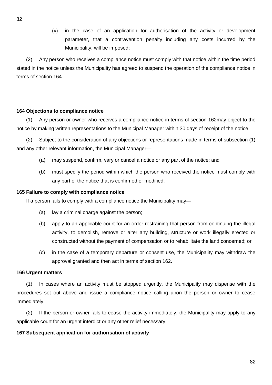(v) in the case of an application for authorisation of the activity or development parameter, that a contravention penalty including any costs incurred by the Municipality, will be imposed;

(2) Any person who receives a compliance notice must comply with that notice within the time period stated in the notice unless the Municipality has agreed to suspend the operation of the compliance notice in terms of section 164.

#### **164 Objections to compliance notice**

(1) Any person or owner who receives a compliance notice in terms of section 162may object to the notice by making written representations to the Municipal Manager within 30 days of receipt of the notice.

(2) Subject to the consideration of any objections or representations made in terms of subsection (1) and any other relevant information, the Municipal Manager—

- (a) may suspend, confirm, vary or cancel a notice or any part of the notice; and
- (b) must specify the period within which the person who received the notice must comply with any part of the notice that is confirmed or modified.

#### **165 Failure to comply with compliance notice**

If a person fails to comply with a compliance notice the Municipality may—

- (a) lay a criminal charge against the person;
- (b) apply to an applicable court for an order restraining that person from continuing the illegal activity, to demolish, remove or alter any building, structure or work illegally erected or constructed without the payment of compensation or to rehabilitate the land concerned; or
- (c) in the case of a temporary departure or consent use, the Municipality may withdraw the approval granted and then act in terms of section 162.

#### **166 Urgent matters**

(1) In cases where an activity must be stopped urgently, the Municipality may dispense with the procedures set out above and issue a compliance notice calling upon the person or owner to cease immediately.

(2) If the person or owner fails to cease the activity immediately, the Municipality may apply to any applicable court for an urgent interdict or any other relief necessary.

## **167 Subsequent application for authorisation of activity**

82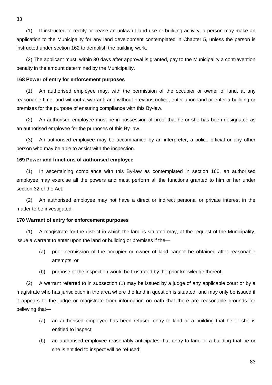(1) If instructed to rectify or cease an unlawful land use or building activity, a person may make an application to the Municipality for any land development contemplated in Chapter 5, unless the person is instructed under section 162 to demolish the building work.

(2) The applicant must, within 30 days after approval is granted, pay to the Municipality a contravention penalty in the amount determined by the Municipality.

#### **168 Power of entry for enforcement purposes**

(1) An authorised employee may, with the permission of the occupier or owner of land, at any reasonable time, and without a warrant, and without previous notice, enter upon land or enter a building or premises for the purpose of ensuring compliance with this By-law.

(2) An authorised employee must be in possession of proof that he or she has been designated as an authorised employee for the purposes of this By-law.

(3) An authorised employee may be accompanied by an interpreter, a police official or any other person who may be able to assist with the inspection.

#### **169 Power and functions of authorised employee**

(1) In ascertaining compliance with this By-law as contemplated in section 160, an authorised employee may exercise all the powers and must perform all the functions granted to him or her under section 32 of the Act.

(2) An authorised employee may not have a direct or indirect personal or private interest in the matter to be investigated.

#### **170 Warrant of entry for enforcement purposes**

(1) A magistrate for the district in which the land is situated may, at the request of the Municipality, issue a warrant to enter upon the land or building or premises if the—

- (a) prior permission of the occupier or owner of land cannot be obtained after reasonable attempts; or
- (b) purpose of the inspection would be frustrated by the prior knowledge thereof.

(2) A warrant referred to in subsection (1) may be issued by a judge of any applicable court or by a magistrate who has jurisdiction in the area where the land in question is situated, and may only be issued if it appears to the judge or magistrate from information on oath that there are reasonable grounds for believing that—

- (a) an authorised employee has been refused entry to land or a building that he or she is entitled to inspect;
- (b) an authorised employee reasonably anticipates that entry to land or a building that he or she is entitled to inspect will be refused;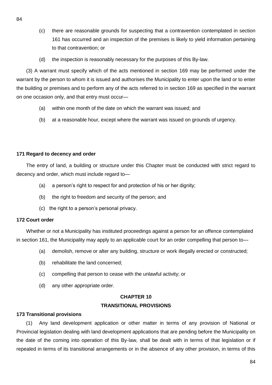- (c) there are reasonable grounds for suspecting that a contravention contemplated in section 161 has occurred and an inspection of the premises is likely to yield information pertaining to that contravention; or
- (d) the inspection is reasonably necessary for the purposes of this By-law.

(3) A warrant must specify which of the acts mentioned in section 169 may be performed under the warrant by the person to whom it is issued and authorises the Municipality to enter upon the land or to enter the building or premises and to perform any of the acts referred to in section 169 as specified in the warrant on one occasion only, and that entry must occur—

- (a) within one month of the date on which the warrant was issued; and
- (b) at a reasonable hour, except where the warrant was issued on grounds of urgency.

#### **171 Regard to decency and order**

The entry of land, a building or structure under this Chapter must be conducted with strict regard to decency and order, which must include regard to—

- (a) a person's right to respect for and protection of his or her dignity;
- (b) the right to freedom and security of the person; and
- (c) the right to a person's personal privacy.

#### **172 Court order**

Whether or not a Municipality has instituted proceedings against a person for an offence contemplated in section 161, the Municipality may apply to an applicable court for an order compelling that person to—

- (a) demolish, remove or alter any building, structure or work illegally erected or constructed;
- (b) rehabilitate the land concerned;
- (c) compelling that person to cease with the unlawful activity; or
- (d) any other appropriate order.

## **CHAPTER 10 TRANSITIONAL PROVISIONS**

#### **173 Transitional provisions**

(1) Any land development application or other matter in terms of any provision of National or Provincial legislation dealing with land development applications that are pending before the Municipality on the date of the coming into operation of this By-law, shall be dealt with in terms of that legislation or if repealed in terms of its transitional arrangements or in the absence of any other provision, in terms of this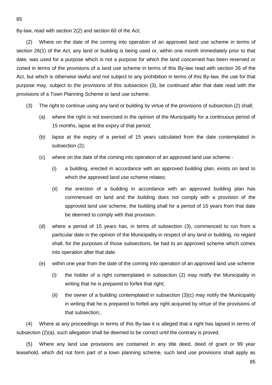By-law, read with section 2(2) and section 60 of the Act;

(2) Where on the date of the coming into operation of an approved land use scheme in terms of section 26(1) of the Act, any land or building is being used or, within one month immediately prior to that date, was used for a purpose which is not a purpose for which the land concerned has been reserved or zoned in terms of the provisions of a land use scheme in terms of this By-law read with section 26 of the Act, but which is otherwise lawful and not subject to any prohibition in terms of this By-law, the use for that purpose may, subject to the provisions of this subsection (3), be continued after that date read with the provisions of a Town Planning Scheme or land use scheme.

- (3) The right to continue using any land or building by virtue of the provisions of subsection (2) shall;
	- (a) where the right is not exercised in the opinion of the Municipality for a continuous period of 15 months, lapse at the expiry of that period;
	- (b) lapse at the expiry of a period of 15 years calculated from the date contemplated in subsection (2);
	- (c) where on the date of the coming into operation of an approved land use scheme
		- (i) a building, erected in accordance with an approved building plan, exists on land to which the approved land use scheme relates;
		- (ii) the erection of a building in accordance with an approved building plan has commenced on land and the building does not comply with a provision of the approved land use scheme, the building shall for a period of 15 years from that date be deemed to comply with that provision.
	- (d) where a period of 15 years has, in terms of subsection (3), commenced to run from a particular date in the opinion of the Municipality in respect of any land or building, no regard shall, for the purposes of those subsections, be had to an approved scheme which comes into operation after that date.
	- (e) within one year from the date of the coming into operation of an approved land use scheme
		- (i) the holder of a right contemplated in subsection (2) may notify the Municipality in writing that he is prepared to forfeit that right;
		- (ii) the owner of a building contemplated in subsection  $(3)(c)$  may notify the Municipality in writing that he is prepared to forfeit any right acquired by virtue of the provisions of that subsection;.

(4) Where at any proceedings in terms of this By-law it is alleged that a right has lapsed in terms of subsection (2)(a), such allegation shall be deemed to be correct until the contrary is proved.

(5) Where any land use provisions are contained in any title deed, deed of grant or 99 year leasehold, which did not form part of a town planning scheme, such land use provisions shall apply as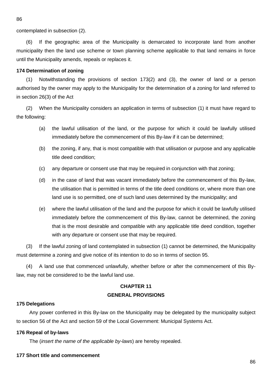contemplated in subsection (2).

(6) If the geographic area of the Municipality is demarcated to incorporate land from another municipality then the land use scheme or town planning scheme applicable to that land remains in force until the Municipality amends, repeals or replaces it.

#### **174 Determination of zoning**

(1) Notwithstanding the provisions of section 173(2) and (3), the owner of land or a person authorised by the owner may apply to the Municipality for the determination of a zoning for land referred to in section 26(3) of the Act

(2) When the Municipality considers an application in terms of subsection (1) it must have regard to the following:

- (a) the lawful utilisation of the land, or the purpose for which it could be lawfully utilised immediately before the commencement of this By-law if it can be determined;
- (b) the zoning, if any, that is most compatible with that utilisation or purpose and any applicable title deed condition;
- (c) any departure or consent use that may be required in conjunction with that zoning;
- (d) in the case of land that was vacant immediately before the commencement of this By-law, the utilisation that is permitted in terms of the title deed conditions or, where more than one land use is so permitted, one of such land uses determined by the municipality; and
- (e) where the lawful utilisation of the land and the purpose for which it could be lawfully utilised immediately before the commencement of this By-law, cannot be determined, the zoning that is the most desirable and compatible with any applicable title deed condition, together with any departure or consent use that may be required.

(3) If the lawful zoning of land contemplated in subsection (1) cannot be determined, the Municipality must determine a zoning and give notice of its intention to do so in terms of section 95.

(4) A land use that commenced unlawfully, whether before or after the commencement of this Bylaw, may not be considered to be the lawful land use.

## **CHAPTER 11 GENERAL PROVISIONS**

#### **175 Delegations**

Any power conferred in this By-law on the Municipality may be delegated by the municipality subject to section 56 of the Act and section 59 of the Local Government: Municipal Systems Act.

#### **176 Repeal of by-laws**

The (*insert the name of the applicable by-laws*) are hereby repealed.

## **177 Short title and commencement**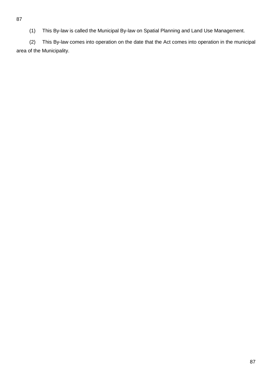(1) This By-law is called the Municipal By-law on Spatial Planning and Land Use Management.

(2) This By-law comes into operation on the date that the Act comes into operation in the municipal area of the Municipality.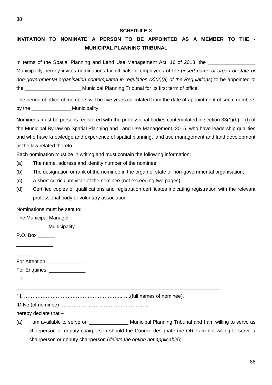#### **SCHEDULE X**

# **INVITATION TO NOMINATE A PERSON TO BE APPOINTED AS A MEMBER TO THE - \_\_\_\_\_\_\_\_\_\_\_\_\_\_\_\_\_\_\_\_\_\_\_\_ MUNICIPAL PLANNING TRIBUNAL**

In terms of the Spatial Planning and Land Use Management Act, 16 of 2013, the

Municipality hereby invites nominations for officials or employees of the (*insert name of organ of state or non-governmental organisation contemplated in regulation (3)(2)(a) of the Regulations*) to be appointed to the **Example 20** Municipal Planning Tribunal for its first term of office.

The period of office of members will be five years calculated from the date of appointment of such members by the **Municipality**.

Nominees must be persons registered with the professional bodies contemplated in section 33(1)(b) – (f) of the Municipal By-law on Spatial Planning and Land Use Management, 2015, who have leadership qualities and who have knowledge and experience of spatial planning, land use management and land development or the law related thereto.

Each nomination must be in writing and must contain the following information:

- (a) The name, address and identity number of the nominee;
- (b) The designation or rank of the nominee in the organ of state or non-governmental organisation;
- (c) A short curriculum vitae of the nominee (not exceeding two pages);
- (d) Certified copies of qualifications and registration certificates indicating registration with the relevant professional body or voluntary association.

Nominations must be sent to:

The Municipal Manager

**\_\_\_\_\_\_\_** Municipality

P.O. Box \_\_\_\_\_\_\_\_\_\_\_\_\_

| For Attention: |  |
|----------------|--|
| For Enquiries: |  |

Tel \_\_\_\_\_\_\_\_\_\_\_\_\_\_\_\_\_

\* I, …………………………………………………..…..(full names of nominee),

\_\_\_\_\_\_\_\_\_\_\_\_\_\_\_\_\_\_\_\_\_\_\_\_\_\_\_\_\_\_\_\_\_\_\_\_\_\_\_\_\_\_\_\_\_\_\_\_\_\_\_\_\_\_\_\_\_\_\_\_\_\_\_\_\_\_\_\_\_\_\_\_\_

ID No (of nominee) …………………………………………….,

hereby declare that –

(a) I am available to serve on The Municipal Planning Tribunal and I am willing to serve as chairperson or deputy chairperson should the Council designate me OR I am not willing to serve a chairperson or deputy chairperson (*delete the option not applicable*);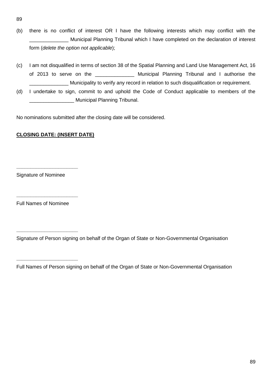- 89
- (b) there is no conflict of interest OR I have the following interests which may conflict with the \_\_\_\_\_\_\_\_\_\_\_\_\_\_ Municipal Planning Tribunal which I have completed on the declaration of interest form (*delete the option not applicable*);
- (c) I am not disqualified in terms of section 38 of the Spatial Planning and Land Use Management Act, 16 of 2013 to serve on the \_\_\_\_\_\_\_\_\_\_\_\_\_\_\_\_ Municipal Planning Tribunal and I authorise the Municipality to verify any record in relation to such disqualification or requirement.
- (d) I undertake to sign, commit to and uphold the Code of Conduct applicable to members of the \_\_\_\_\_\_\_\_\_\_\_\_\_\_\_\_ Municipal Planning Tribunal.

No nominations submitted after the closing date will be considered.

## **CLOSING DATE: (INSERT DATE)**

Signature of Nominee

**\_\_\_\_\_\_\_\_\_\_\_\_\_\_\_\_\_\_\_\_\_\_**

**\_\_\_\_\_\_\_\_\_\_\_\_\_\_\_\_\_\_\_\_\_\_**

**\_\_\_\_\_\_\_\_\_\_\_\_\_\_\_\_\_\_\_\_\_\_**

**\_\_\_\_\_\_\_\_\_\_\_\_\_\_\_\_\_\_\_\_\_\_**

Full Names of Nominee

Signature of Person signing on behalf of the Organ of State or Non-Governmental Organisation

Full Names of Person signing on behalf of the Organ of State or Non-Governmental Organisation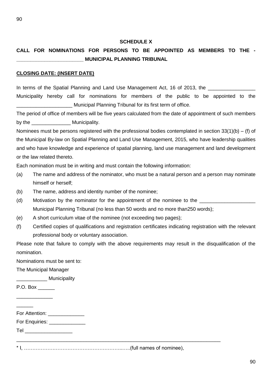## **SCHEDULE X**

# **CALL FOR NOMINATIONS FOR PERSONS TO BE APPOINTED AS MEMBERS TO THE - \_\_\_\_\_\_\_\_\_\_\_\_\_\_\_\_\_\_\_\_\_\_\_\_ MUNICIPAL PLANNING TRIBUNAL**

#### **CLOSING DATE: (INSERT DATE)**

In terms of the Spatial Planning and Land Use Management Act, 16 of 2013, the Municipality hereby call for nominations for members of the public to be appointed to the Municipal Planning Tribunal for its first term of office.

The period of office of members will be five years calculated from the date of appointment of such members by the **Municipality**.

Nominees must be persons registered with the professional bodies contemplated in section 33(1)(b) – (f) of the Municipal By-law on Spatial Planning and Land Use Management, 2015, who have leadership qualities and who have knowledge and experience of spatial planning, land use management and land development or the law related thereto.

Each nomination must be in writing and must contain the following information:

- (a) The name and address of the nominator, who must be a natural person and a person may nominate himself or herself;
- (b) The name, address and identity number of the nominee;
- (d) Motivation by the nominator for the appointment of the nominee to the Municipal Planning Tribunal (no less than 50 words and no more than250 words);
- (e) A short curriculum vitae of the nominee (not exceeding two pages);
- (f) Certified copies of qualifications and registration certificates indicating registration with the relevant professional body or voluntary association.

Please note that failure to comply with the above requirements may result in the disqualification of the nomination.

Nominations must be sent to:

The Municipal Manager

\_\_\_\_\_\_\_\_\_\_\_ Municipality

P.O. Box \_\_\_\_\_\_

 $\overline{\phantom{a}}$ 

\_\_\_\_\_\_\_\_\_\_\_\_\_

For Attention:

For Enquiries:

 $T$ el  $\sim$ 

\* I, …………………………………………………..…..(full names of nominee),

\_\_\_\_\_\_\_\_\_\_\_\_\_\_\_\_\_\_\_\_\_\_\_\_\_\_\_\_\_\_\_\_\_\_\_\_\_\_\_\_\_\_\_\_\_\_\_\_\_\_\_\_\_\_\_\_\_\_\_\_\_\_\_\_\_\_\_\_\_\_\_\_\_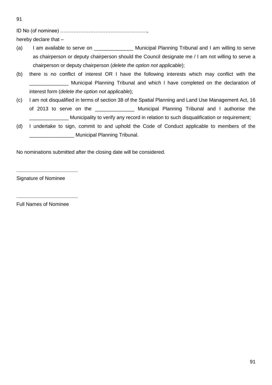91

ID No (of nominee) …………………………………………….,

hereby declare that –

- (a) I am available to serve on **Nunicipal Planning Tribunal and I am willing to serve** as chairperson or deputy chairperson should the Council designate me / I am not willing to serve a chairperson or deputy chairperson (*delete the option not applicable*);
- (b) there is no conflict of interest OR I have the following interests which may conflict with the Municipal Planning Tribunal and which I have completed on the declaration of interest form (*delete the option not applicable*);
- (c) I am not disqualified in terms of section 38 of the Spatial Planning and Land Use Management Act, 16 of 2013 to serve on the **Example 2013** Municipal Planning Tribunal and I authorise the Municipality to verify any record in relation to such disqualification or requirement;
- (d) I undertake to sign, commit to and uphold the Code of Conduct applicable to members of the \_\_\_\_\_\_\_\_\_\_\_\_\_\_\_\_ Municipal Planning Tribunal.

No nominations submitted after the closing date will be considered.

Signature of Nominee

**\_\_\_\_\_\_\_\_\_\_\_\_\_\_\_\_\_\_\_\_\_\_**

**\_\_\_\_\_\_\_\_\_\_\_\_\_\_\_\_\_\_\_\_\_\_**

Full Names of Nominee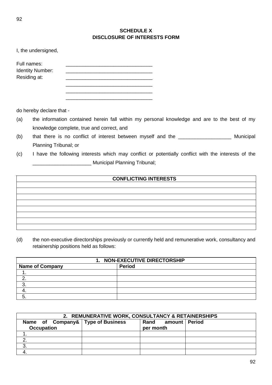| I, the undersigned,                                    |  |
|--------------------------------------------------------|--|
| Full names:<br><b>Identity Number:</b><br>Residing at: |  |
|                                                        |  |

do hereby declare that -

- (a) the information contained herein fall within my personal knowledge and are to the best of my knowledge complete, true and correct, and
- (b) that there is no conflict of interest between myself and the \_\_\_\_\_\_\_\_\_\_\_\_\_\_\_\_\_\_\_\_\_\_ Municipal Planning Tribunal; or
- (c) I have the following interests which may conflict or potentially conflict with the interests of the Municipal Planning Tribunal;

## **CONFLICTING INTERESTS**

(d) the non-executive directorships previously or currently held and remunerative work, consultancy and retainership positions held as follows:

| 1. NON-EXECUTIVE DIRECTORSHIP |               |  |
|-------------------------------|---------------|--|
| <b>Name of Company</b>        | <b>Period</b> |  |
|                               |               |  |
|                               |               |  |
|                               |               |  |
|                               |               |  |
|                               |               |  |

| 2. REMUNERATIVE WORK, CONSULTANCY & RETAINERSHIPS      |  |                                 |  |
|--------------------------------------------------------|--|---------------------------------|--|
| Name of Company& Type of Business<br><b>Occupation</b> |  | Rand amount Period<br>per month |  |
|                                                        |  |                                 |  |
|                                                        |  |                                 |  |
| 3.                                                     |  |                                 |  |
|                                                        |  |                                 |  |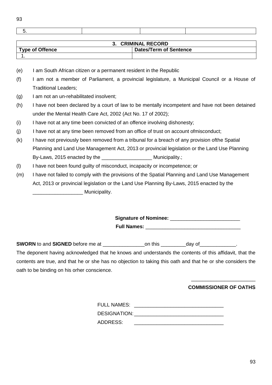| ٠                      | ٠<br>V.      |
|------------------------|--------------|
| ×<br>I<br>I<br>۰,<br>× | I<br>I<br>۰. |

 $\Box$ 

| <b>3. CRIMINAL RECORD</b> |                               |  |
|---------------------------|-------------------------------|--|
| <b>Type of Offence</b>    | <b>Dates/Term of Sentence</b> |  |
|                           |                               |  |

- (e) I am South African citizen or a permanent resident in the Republic
- (f) I am not a member of Parliament, a provincial legislature, a Municipal Council or a House of Traditional Leaders;
- (g) I am not an un-rehabilitated insolvent;
- (h) I have not been declared by a court of law to be mentally incompetent and have not been detained under the Mental Health Care Act, 2002 (Act No. 17 of 2002);
- (i) I have not at any time been convicted of an offence involving dishonesty;
- (j) I have not at any time been removed from an office of trust on account ofmisconduct;
- (k) I have not previously been removed from a tribunal for a breach of any provision ofthe Spatial Planning and Land Use Management Act, 2013 or provincial legislation or the Land Use Planning By-Laws, 2015 enacted by the \_\_\_\_\_\_\_\_\_\_\_\_\_\_\_\_\_\_ Municipality.;
- (l) I have not been found guilty of misconduct, incapacity or incompetence; or
- (m) I have not failed to comply with the provisions of the Spatial Planning and Land Use Management Act, 2013 or provincial legislation or the Land Use Planning By-Laws, 2015 enacted by the \_\_\_\_\_\_\_\_\_\_\_\_\_\_\_\_\_\_ Municipality.

Signature of Nominee: **With any of Strategies Full Names:** 

**SWORN** to and **SIGNED** before me at \_\_\_\_\_\_\_\_\_\_\_\_\_\_\_on this \_\_\_\_\_\_\_\_\_day of\_\_\_\_\_\_\_\_\_\_\_\_\_.

The deponent having acknowledged that he knows and understands the contents of this affidavit, that the contents are true, and that he or she has no objection to taking this oath and that he or she considers the oath to be binding on his orher conscience.

## \_\_\_\_\_\_\_\_\_\_\_\_\_\_\_\_\_\_\_\_\_\_\_ **COMMISSIONER OF OATHS**

| <b>FULL NAMES:</b>  |  |
|---------------------|--|
| <b>DESIGNATION:</b> |  |
| <b>ADDRESS:</b>     |  |
|                     |  |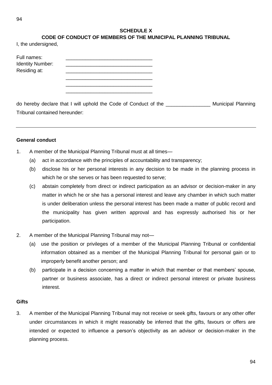## **SCHEDULE X**

# **CODE OF CONDUCT OF MEMBERS OF THE MUNICIPAL PLANNING TRIBUNAL**

I, the undersigned,

| Full names:<br><b>Identity Number:</b><br>Residing at: |  |
|--------------------------------------------------------|--|
|                                                        |  |

\_\_\_\_\_\_\_\_\_\_\_\_\_\_\_\_\_\_\_\_\_\_\_\_\_\_\_\_\_\_\_

do hereby declare that I will uphold the Code of Conduct of the \_\_\_\_\_\_\_\_\_\_\_\_\_\_\_\_ Municipal Planning Tribunal contained hereunder:

## **General conduct**

- 1. A member of the Municipal Planning Tribunal must at all times—
	- (a) act in accordance with the principles of accountability and transparency;
	- (b) disclose his or her personal interests in any decision to be made in the planning process in which he or she serves or has been requested to serve;
	- (c) abstain completely from direct or indirect participation as an advisor or decision-maker in any matter in which he or she has a personal interest and leave any chamber in which such matter is under deliberation unless the personal interest has been made a matter of public record and the municipality has given written approval and has expressly authorised his or her participation.
- 2. A member of the Municipal Planning Tribunal may not-
	- (a) use the position or privileges of a member of the Municipal Planning Tribunal or confidential information obtained as a member of the Municipal Planning Tribunal for personal gain or to improperly benefit another person; and
	- (b) participate in a decision concerning a matter in which that member or that members' spouse, partner or business associate, has a direct or indirect personal interest or private business interest.

## **Gifts**

3. A member of the Municipal Planning Tribunal may not receive or seek gifts, favours or any other offer under circumstances in which it might reasonably be inferred that the gifts, favours or offers are intended or expected to influence a person's objectivity as an advisor or decision-maker in the planning process.